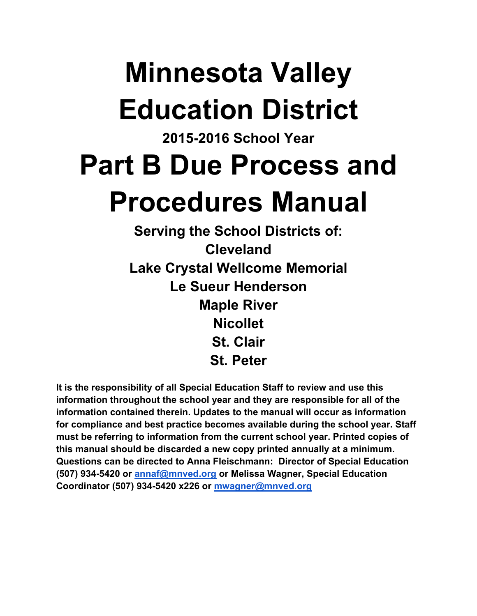# **Minnesota Valley Education District**

## **2015-2016 School Year Part B Due Process and Procedures Manual**

**Serving the School Districts of: Cleveland Lake Crystal Wellcome Memorial Le Sueur Henderson Maple River Nicollet St. Clair St. Peter**

**It is the responsibility of all Special Education Staff to review and use this information throughout the school year and they are responsible for all of the information contained therein. Updates to the manual will occur as information for compliance and best practice becomes available during the school year. Staff must be referring to information from the current school year. Printed copies of this manual should be discarded a new copy printed annually at a minimum. Questions can be directed to Anna Fleischmann: Director of Special Education (507) 934-5420 or annaf@mnved.org or Melissa Wagner, Special Education Coordinator (507) 934-5420 x226 or mwagner@mnved.org**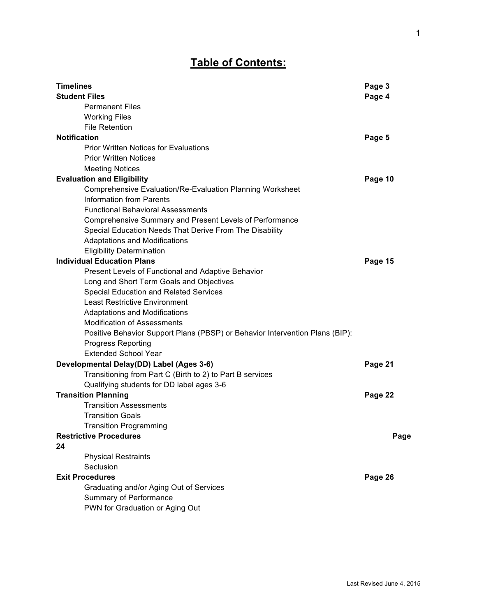## **Table of Contents:**

| <b>Timelines</b>                                                             | Page 3  |
|------------------------------------------------------------------------------|---------|
| <b>Student Files</b>                                                         | Page 4  |
| <b>Permanent Files</b>                                                       |         |
| <b>Working Files</b>                                                         |         |
| <b>File Retention</b>                                                        |         |
| <b>Notification</b>                                                          | Page 5  |
| <b>Prior Written Notices for Evaluations</b>                                 |         |
| <b>Prior Written Notices</b>                                                 |         |
| <b>Meeting Notices</b>                                                       |         |
| <b>Evaluation and Eligibility</b>                                            | Page 10 |
| Comprehensive Evaluation/Re-Evaluation Planning Worksheet                    |         |
| <b>Information from Parents</b>                                              |         |
| <b>Functional Behavioral Assessments</b>                                     |         |
| Comprehensive Summary and Present Levels of Performance                      |         |
| Special Education Needs That Derive From The Disability                      |         |
| <b>Adaptations and Modifications</b>                                         |         |
| <b>Eligibility Determination</b>                                             |         |
| <b>Individual Education Plans</b>                                            | Page 15 |
| Present Levels of Functional and Adaptive Behavior                           |         |
| Long and Short Term Goals and Objectives                                     |         |
| Special Education and Related Services                                       |         |
| <b>Least Restrictive Environment</b>                                         |         |
| <b>Adaptations and Modifications</b>                                         |         |
| <b>Modification of Assessments</b>                                           |         |
| Positive Behavior Support Plans (PBSP) or Behavior Intervention Plans (BIP): |         |
| <b>Progress Reporting</b>                                                    |         |
| <b>Extended School Year</b>                                                  |         |
| Developmental Delay(DD) Label (Ages 3-6)                                     | Page 21 |
| Transitioning from Part C (Birth to 2) to Part B services                    |         |
| Qualifying students for DD label ages 3-6                                    |         |
| <b>Transition Planning</b>                                                   | Page 22 |
| <b>Transition Assessments</b>                                                |         |
| <b>Transition Goals</b>                                                      |         |
| <b>Transition Programming</b>                                                |         |
| <b>Restrictive Procedures</b>                                                | Page    |
| 24                                                                           |         |
| <b>Physical Restraints</b>                                                   |         |
| Seclusion                                                                    |         |
| <b>Exit Procedures</b>                                                       | Page 26 |
| Graduating and/or Aging Out of Services                                      |         |
| Summary of Performance                                                       |         |
| PWN for Graduation or Aging Out                                              |         |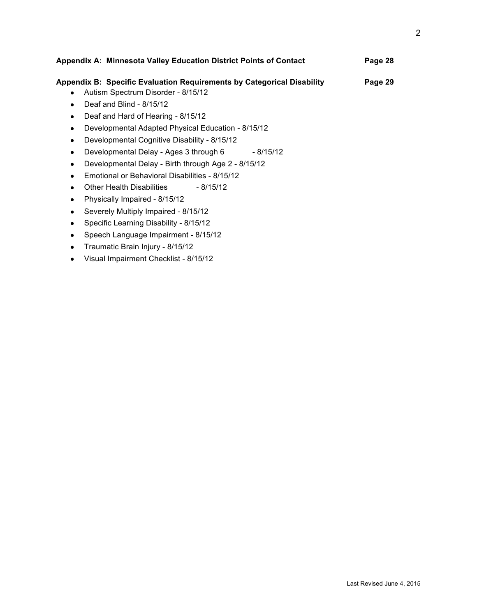| Appendix A: Minnesota Valley Education District Points of Contact       | Page 28 |
|-------------------------------------------------------------------------|---------|
| Appendix B:  Specific Evaluation Requirements by Categorical Disability | Page 29 |
| Autism Spectrum Disorder - 8/15/12<br>$\bullet$                         |         |
| Deaf and Blind - 8/15/12<br>$\bullet$                                   |         |
| Deaf and Hard of Hearing - 8/15/12<br>$\bullet$                         |         |
| Developmental Adapted Physical Education - 8/15/12<br>$\bullet$         |         |
| Developmental Cognitive Disability - 8/15/12<br>$\bullet$               |         |
| Developmental Delay - Ages 3 through 6<br>- 8/15/12<br>$\bullet$        |         |
| Developmental Delay - Birth through Age 2 - 8/15/12<br>٠                |         |
| Emotional or Behavioral Disabilities - 8/15/12                          |         |
| Other Health Disabilities<br>- 8/15/12<br>$\bullet$                     |         |
| Physically Impaired - 8/15/12<br>$\bullet$                              |         |
| Severely Multiply Impaired - 8/15/12                                    |         |
| Specific Learning Disability - 8/15/12<br>٠                             |         |
| Speech Language Impairment - 8/15/12                                    |         |

- Traumatic Brain Injury 8/15/12
- Visual Impairment Checklist 8/15/12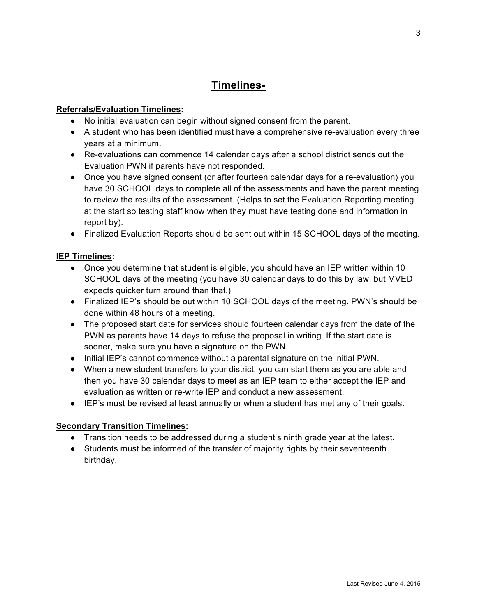## **Timelines-**

#### **Referrals/Evaluation Timelines:**

- No initial evaluation can begin without signed consent from the parent.
- A student who has been identified must have a comprehensive re-evaluation every three years at a minimum.
- Re-evaluations can commence 14 calendar days after a school district sends out the Evaluation PWN if parents have not responded.
- Once you have signed consent (or after fourteen calendar days for a re-evaluation) you have 30 SCHOOL days to complete all of the assessments and have the parent meeting to review the results of the assessment. (Helps to set the Evaluation Reporting meeting at the start so testing staff know when they must have testing done and information in report by).
- Finalized Evaluation Reports should be sent out within 15 SCHOOL days of the meeting.

#### **IEP Timelines:**

- Once you determine that student is eligible, you should have an IEP written within 10 SCHOOL days of the meeting (you have 30 calendar days to do this by law, but MVED expects quicker turn around than that.)
- Finalized IEP's should be out within 10 SCHOOL days of the meeting. PWN's should be done within 48 hours of a meeting.
- The proposed start date for services should fourteen calendar days from the date of the PWN as parents have 14 days to refuse the proposal in writing. If the start date is sooner, make sure you have a signature on the PWN.
- Initial IEP's cannot commence without a parental signature on the initial PWN.
- When a new student transfers to your district, you can start them as you are able and then you have 30 calendar days to meet as an IEP team to either accept the IEP and evaluation as written or re-write IEP and conduct a new assessment.
- IEP's must be revised at least annually or when a student has met any of their goals.

#### **Secondary Transition Timelines:**

- Transition needs to be addressed during a student's ninth grade year at the latest.
- Students must be informed of the transfer of majority rights by their seventeenth birthday.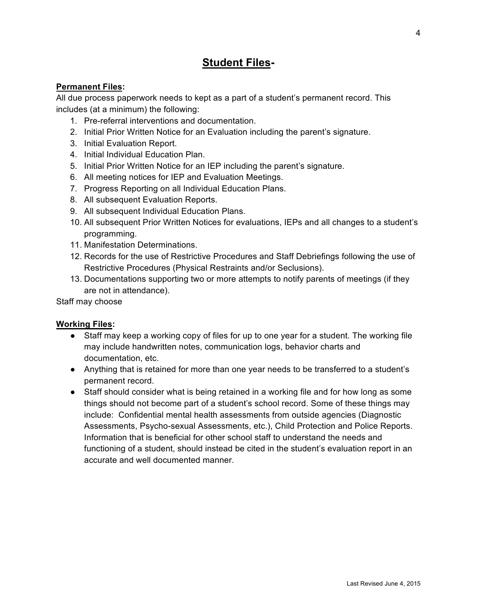## **Student Files-**

#### **Permanent Files:**

All due process paperwork needs to kept as a part of a student's permanent record. This includes (at a minimum) the following:

- 1. Pre-referral interventions and documentation.
- 2. Initial Prior Written Notice for an Evaluation including the parent's signature.
- 3. Initial Evaluation Report.
- 4. Initial Individual Education Plan.
- 5. Initial Prior Written Notice for an IEP including the parent's signature.
- 6. All meeting notices for IEP and Evaluation Meetings.
- 7. Progress Reporting on all Individual Education Plans.
- 8. All subsequent Evaluation Reports.
- 9. All subsequent Individual Education Plans.
- 10. All subsequent Prior Written Notices for evaluations, IEPs and all changes to a student's programming.
- 11. Manifestation Determinations.
- 12. Records for the use of Restrictive Procedures and Staff Debriefings following the use of Restrictive Procedures (Physical Restraints and/or Seclusions).
- 13. Documentations supporting two or more attempts to notify parents of meetings (if they are not in attendance).

Staff may choose

#### **Working Files:**

- Staff may keep a working copy of files for up to one year for a student. The working file may include handwritten notes, communication logs, behavior charts and documentation, etc.
- Anything that is retained for more than one year needs to be transferred to a student's permanent record.
- Staff should consider what is being retained in a working file and for how long as some things should not become part of a student's school record. Some of these things may include: Confidential mental health assessments from outside agencies (Diagnostic Assessments, Psycho-sexual Assessments, etc.), Child Protection and Police Reports. Information that is beneficial for other school staff to understand the needs and functioning of a student, should instead be cited in the student's evaluation report in an accurate and well documented manner.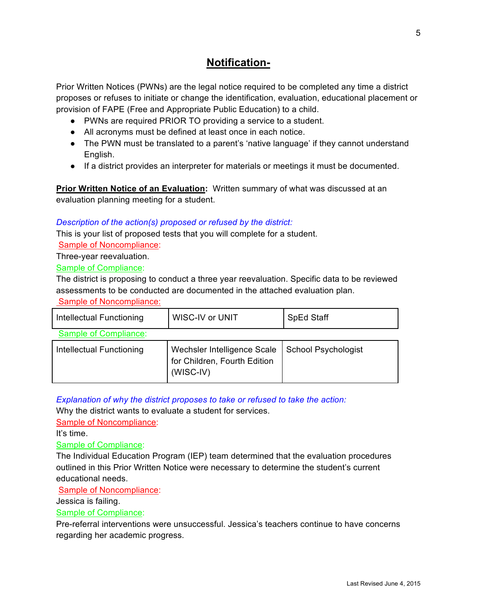## **Notification-**

Prior Written Notices (PWNs) are the legal notice required to be completed any time a district proposes or refuses to initiate or change the identification, evaluation, educational placement or provision of FAPE (Free and Appropriate Public Education) to a child.

- PWNs are required PRIOR TO providing a service to a student.
- All acronyms must be defined at least once in each notice.
- The PWN must be translated to a parent's 'native language' if they cannot understand English.
- If a district provides an interpreter for materials or meetings it must be documented.

**Prior Written Notice of an Evaluation:** Written summary of what was discussed at an evaluation planning meeting for a student.

#### *Description of the action(s) proposed or refused by the district:*

This is your list of proposed tests that you will complete for a student.

Sample of Noncompliance:

Three-year reevaluation.

#### Sample of Compliance:

The district is proposing to conduct a three year reevaluation. Specific data to be reviewed assessments to be conducted are documented in the attached evaluation plan.

Sample of Noncompliance:

| Intellectual Functioning | <b>WISC-IV or UNIT</b>                                                     | <b>SpEd Staff</b>          |
|--------------------------|----------------------------------------------------------------------------|----------------------------|
| Sample of Compliance:    |                                                                            |                            |
| Intellectual Functioning | Wechsler Intelligence Scale<br>for Children, Fourth Edition<br>$(WISC-IV)$ | <b>School Psychologist</b> |

*Explanation of why the district proposes to take or refused to take the action:*

Why the district wants to evaluate a student for services.

Sample of Noncompliance:

It's time.

Sample of Compliance:

The Individual Education Program (IEP) team determined that the evaluation procedures outlined in this Prior Written Notice were necessary to determine the student's current educational needs.

Sample of Noncompliance:

Jessica is failing.

Sample of Compliance:

Pre-referral interventions were unsuccessful. Jessica's teachers continue to have concerns regarding her academic progress.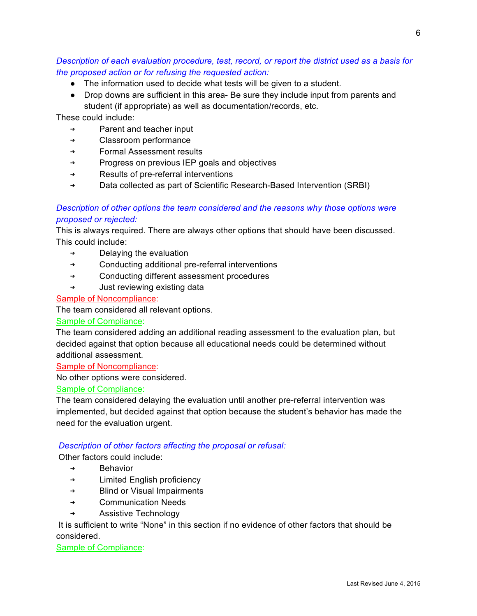#### *Description of each evaluation procedure, test, record, or report the district used as a basis for the proposed action or for refusing the requested action:*

- The information used to decide what tests will be given to a student.
- Drop downs are sufficient in this area- Be sure they include input from parents and student (if appropriate) as well as documentation/records, etc.

These could include:

- ➔ Parent and teacher input
- ➔ Classroom performance
- ➔ Formal Assessment results
- ➔ Progress on previous IEP goals and objectives
- ➔ Results of pre-referral interventions
- ➔ Data collected as part of Scientific Research-Based Intervention (SRBI)

#### *Description of other options the team considered and the reasons why those options were proposed or rejected:*

This is always required. There are always other options that should have been discussed. This could include:

- $\rightarrow$  Delaying the evaluation
- ➔ Conducting additional pre-referral interventions
- ➔ Conducting different assessment procedures
- ➔ Just reviewing existing data

#### Sample of Noncompliance:

The team considered all relevant options.

#### Sample of Compliance:

The team considered adding an additional reading assessment to the evaluation plan, but decided against that option because all educational needs could be determined without additional assessment.

#### Sample of Noncompliance:

No other options were considered.

#### Sample of Compliance:

The team considered delaying the evaluation until another pre-referral intervention was implemented, but decided against that option because the student's behavior has made the need for the evaluation urgent.

#### *Description of other factors affecting the proposal or refusal:*

Other factors could include:

- **Behavior**
- ➔ Limited English proficiency
- ➔ Blind or Visual Impairments
- ➔ Communication Needs
- ➔ Assistive Technology

 It is sufficient to write "None" in this section if no evidence of other factors that should be considered.

Sample of Compliance: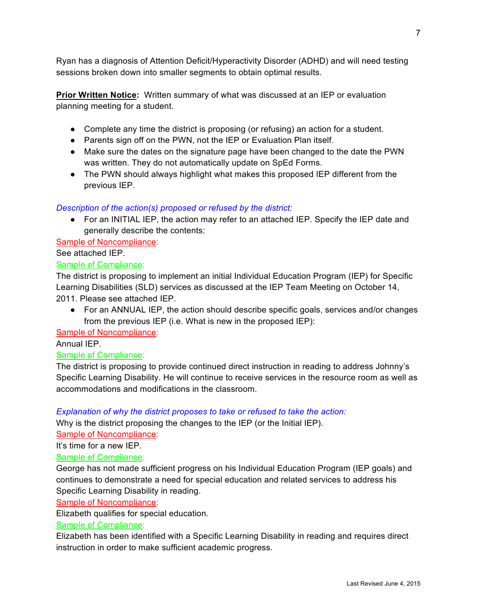Ryan has a diagnosis of Attention Deficit/Hyperactivity Disorder (ADHD) and will need testing sessions broken down into smaller segments to obtain optimal results.

**Prior Written Notice:** Written summary of what was discussed at an IEP or evaluation planning meeting for a student.

- Complete any time the district is proposing (or refusing) an action for a student.
- Parents sign off on the PWN, not the IEP or Evaluation Plan itself.
- Make sure the dates on the signature page have been changed to the date the PWN was written. They do not automatically update on SpEd Forms.
- The PWN should always highlight what makes this proposed IEP different from the previous IEP.

#### *Description of the action(s) proposed or refused by the district:*

● For an INITIAL IEP, the action may refer to an attached IEP. Specify the IEP date and generally describe the contents:

Sample of Noncompliance:

See attached IEP.

#### Sample of Compliance:

The district is proposing to implement an initial Individual Education Program (IEP) for Specific Learning Disabilities (SLD) services as discussed at the IEP Team Meeting on October 14, 2011. Please see attached IEP.

● For an ANNUAL IEP, the action should describe specific goals, services and/or changes from the previous IEP (i.e. What is new in the proposed IEP):

Sample of Noncompliance:

#### Annual IEP.

#### Sample of Compliance:

The district is proposing to provide continued direct instruction in reading to address Johnny's Specific Learning Disability. He will continue to receive services in the resource room as well as accommodations and modifications in the classroom.

#### *Explanation of why the district proposes to take or refused to take the action:*

Why is the district proposing the changes to the IEP (or the Initial IEP).

Sample of Noncompliance:

It's time for a new IEP.

#### Sample of Compliance:

George has not made sufficient progress on his Individual Education Program (IEP goals) and continues to demonstrate a need for special education and related services to address his Specific Learning Disability in reading.

#### Sample of Noncompliance:

Elizabeth qualifies for special education.

#### Sample of Compliance:

Elizabeth has been identified with a Specific Learning Disability in reading and requires direct instruction in order to make sufficient academic progress.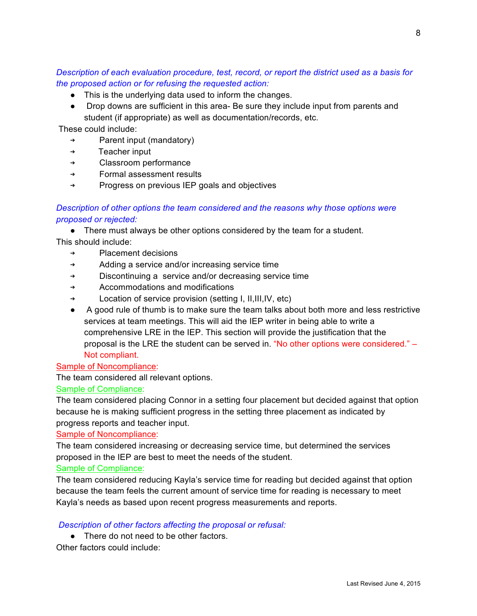*Description of each evaluation procedure, test, record, or report the district used as a basis for the proposed action or for refusing the requested action:*

- This is the underlying data used to inform the changes.
- Drop downs are sufficient in this area- Be sure they include input from parents and student (if appropriate) as well as documentation/records, etc.

These could include:

- ➔ Parent input (mandatory)
- ➔ Teacher input
- ➔ Classroom performance
- ➔ Formal assessment results
- ➔ Progress on previous IEP goals and objectives

#### *Description of other options the team considered and the reasons why those options were proposed or rejected:*

● There must always be other options considered by the team for a student.

This should include:

- ➔ Placement decisions
- ➔ Adding a service and/or increasing service time
- ➔ Discontinuing a service and/or decreasing service time
- ➔ Accommodations and modifications
- ➔ Location of service provision (setting I, II,III,IV, etc)
- A good rule of thumb is to make sure the team talks about both more and less restrictive services at team meetings. This will aid the IEP writer in being able to write a comprehensive LRE in the IEP. This section will provide the justification that the proposal is the LRE the student can be served in. "No other options were considered." – Not compliant.

#### Sample of Noncompliance:

The team considered all relevant options.

#### Sample of Compliance:

The team considered placing Connor in a setting four placement but decided against that option because he is making sufficient progress in the setting three placement as indicated by progress reports and teacher input.

#### Sample of Noncompliance:

The team considered increasing or decreasing service time, but determined the services proposed in the IEP are best to meet the needs of the student.

#### Sample of Compliance:

The team considered reducing Kayla's service time for reading but decided against that option because the team feels the current amount of service time for reading is necessary to meet Kayla's needs as based upon recent progress measurements and reports.

#### *Description of other factors affecting the proposal or refusal:*

- There do not need to be other factors.
- Other factors could include: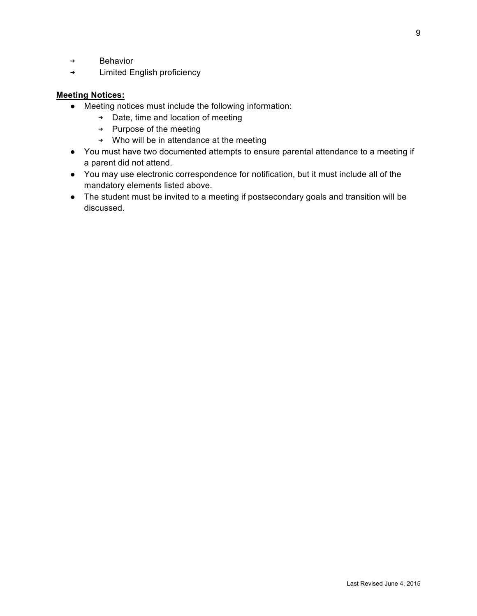- ➔ Behavior
- ➔ Limited English proficiency

#### **Meeting Notices:**

- Meeting notices must include the following information:
	- ➔ Date, time and location of meeting
	- ➔ Purpose of the meeting
	- ➔ Who will be in attendance at the meeting
- You must have two documented attempts to ensure parental attendance to a meeting if a parent did not attend.
- You may use electronic correspondence for notification, but it must include all of the mandatory elements listed above.
- The student must be invited to a meeting if postsecondary goals and transition will be discussed.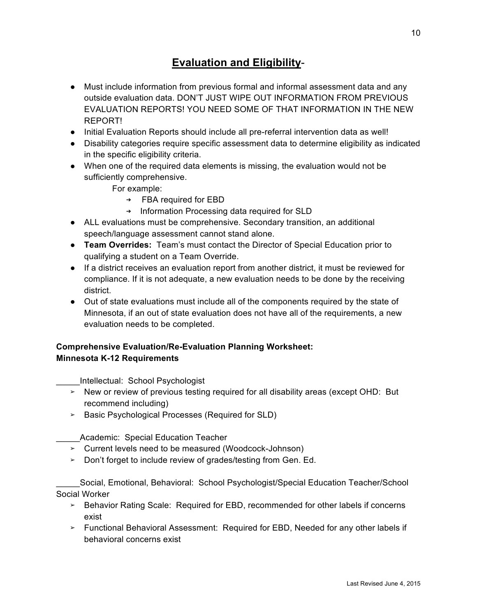## **Evaluation and Eligibility**-

- Must include information from previous formal and informal assessment data and any outside evaluation data. DON'T JUST WIPE OUT INFORMATION FROM PREVIOUS EVALUATION REPORTS! YOU NEED SOME OF THAT INFORMATION IN THE NEW REPORT!
- Initial Evaluation Reports should include all pre-referral intervention data as well!
- Disability categories require specific assessment data to determine eligibility as indicated in the specific eligibility criteria.
- When one of the required data elements is missing, the evaluation would not be sufficiently comprehensive.

For example:

- ➔ FBA required for EBD
- ➔ Information Processing data required for SLD
- ALL evaluations must be comprehensive. Secondary transition, an additional speech/language assessment cannot stand alone.
- **Team Overrides:** Team's must contact the Director of Special Education prior to qualifying a student on a Team Override.
- If a district receives an evaluation report from another district, it must be reviewed for compliance. If it is not adequate, a new evaluation needs to be done by the receiving district.
- Out of state evaluations must include all of the components required by the state of Minnesota, if an out of state evaluation does not have all of the requirements, a new evaluation needs to be completed.

#### **Comprehensive Evaluation/Re-Evaluation Planning Worksheet: Minnesota K-12 Requirements**

\_\_\_\_\_Intellectual: School Psychologist

- ➢ New or review of previous testing required for all disability areas (except OHD: But recommend including)
- ➢ Basic Psychological Processes (Required for SLD)

Academic: Special Education Teacher

- ➢ Current levels need to be measured (Woodcock-Johnson)
- ➢ Don't forget to include review of grades/testing from Gen. Ed.

\_\_\_\_\_Social, Emotional, Behavioral: School Psychologist/Special Education Teacher/School Social Worker

- ➢ Behavior Rating Scale: Required for EBD, recommended for other labels if concerns exist
- ➢ Functional Behavioral Assessment: Required for EBD, Needed for any other labels if behavioral concerns exist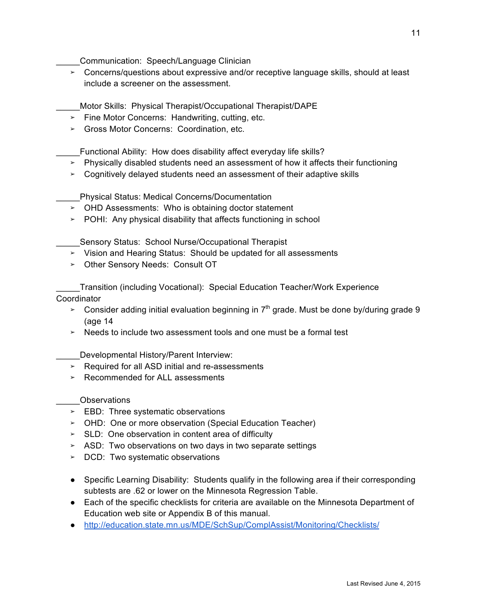\_\_\_\_\_Communication: Speech/Language Clinician

➢ Concerns/questions about expressive and/or receptive language skills, should at least include a screener on the assessment.

\_\_\_\_\_Motor Skills: Physical Therapist/Occupational Therapist/DAPE

- ➢ Fine Motor Concerns: Handwriting, cutting, etc.
- ➢ Gross Motor Concerns: Coordination, etc.

\_\_\_\_\_Functional Ability: How does disability affect everyday life skills?

- ➢ Physically disabled students need an assessment of how it affects their functioning
- ➢ Cognitively delayed students need an assessment of their adaptive skills

\_\_\_\_\_Physical Status: Medical Concerns/Documentation

- ➢ OHD Assessments: Who is obtaining doctor statement
- $\ge$  POHI: Any physical disability that affects functioning in school

**\_\_\_\_Sensory Status: School Nurse/Occupational Therapist** 

- ➢ Vision and Hearing Status: Should be updated for all assessments
- ➢ Other Sensory Needs: Consult OT

\_\_\_\_\_Transition (including Vocational): Special Education Teacher/Work Experience Coordinator

- $\geq$  Consider adding initial evaluation beginning in  $7<sup>th</sup>$  grade. Must be done by/during grade 9 (age 14
- $\geq$  Needs to include two assessment tools and one must be a formal test

\_\_\_\_\_Developmental History/Parent Interview:

- ➢ Required for all ASD initial and re-assessments
- ➢ Recommended for ALL assessments

\_\_\_\_\_Observations

- ➢ EBD: Three systematic observations
- ➢ OHD: One or more observation (Special Education Teacher)
- ➢ SLD: One observation in content area of difficulty
- ➢ ASD: Two observations on two days in two separate settings
- ➢ DCD: Two systematic observations
- Specific Learning Disability: Students qualify in the following area if their corresponding subtests are .62 or lower on the Minnesota Regression Table.
- Each of the specific checklists for criteria are available on the Minnesota Department of Education web site or Appendix B of this manual.
- http://education.state.mn.us/MDE/SchSup/ComplAssist/Monitoring/Checklists/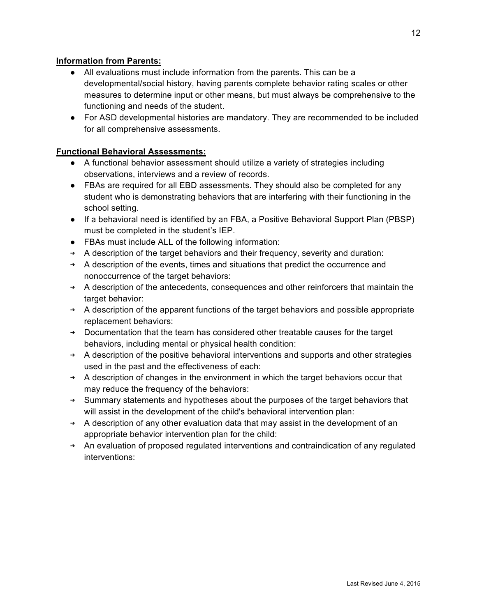#### **Information from Parents:**

- All evaluations must include information from the parents. This can be a developmental/social history, having parents complete behavior rating scales or other measures to determine input or other means, but must always be comprehensive to the functioning and needs of the student.
- For ASD developmental histories are mandatory. They are recommended to be included for all comprehensive assessments.

#### **Functional Behavioral Assessments:**

- A functional behavior assessment should utilize a variety of strategies including observations, interviews and a review of records.
- FBAs are required for all EBD assessments. They should also be completed for any student who is demonstrating behaviors that are interfering with their functioning in the school setting.
- If a behavioral need is identified by an FBA, a Positive Behavioral Support Plan (PBSP) must be completed in the student's IEP.
- FBAs must include ALL of the following information:
- ➔ A description of the target behaviors and their frequency, severity and duration:
- ➔ A description of the events, times and situations that predict the occurrence and nonoccurrence of the target behaviors:
- ➔ A description of the antecedents, consequences and other reinforcers that maintain the target behavior:
- ➔ A description of the apparent functions of the target behaviors and possible appropriate replacement behaviors:
- ➔ Documentation that the team has considered other treatable causes for the target behaviors, including mental or physical health condition:
- ➔ A description of the positive behavioral interventions and supports and other strategies used in the past and the effectiveness of each:
- ➔ A description of changes in the environment in which the target behaviors occur that may reduce the frequency of the behaviors:
- ➔ Summary statements and hypotheses about the purposes of the target behaviors that will assist in the development of the child's behavioral intervention plan:
- ➔ A description of any other evaluation data that may assist in the development of an appropriate behavior intervention plan for the child:
- ➔ An evaluation of proposed regulated interventions and contraindication of any regulated interventions: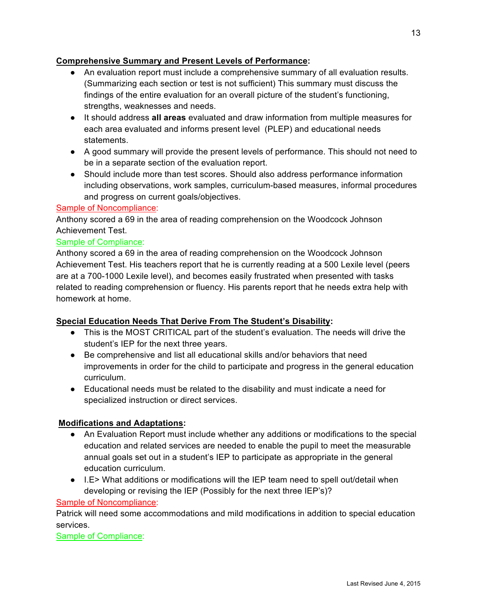#### **Comprehensive Summary and Present Levels of Performance:**

- An evaluation report must include a comprehensive summary of all evaluation results. (Summarizing each section or test is not sufficient) This summary must discuss the findings of the entire evaluation for an overall picture of the student's functioning, strengths, weaknesses and needs.
- It should address **all areas** evaluated and draw information from multiple measures for each area evaluated and informs present level (PLEP) and educational needs statements.
- A good summary will provide the present levels of performance. This should not need to be in a separate section of the evaluation report.
- Should include more than test scores. Should also address performance information including observations, work samples, curriculum-based measures, informal procedures and progress on current goals/objectives.

#### Sample of Noncompliance:

Anthony scored a 69 in the area of reading comprehension on the Woodcock Johnson Achievement Test.

#### Sample of Compliance:

Anthony scored a 69 in the area of reading comprehension on the Woodcock Johnson Achievement Test. His teachers report that he is currently reading at a 500 Lexile level (peers are at a 700-1000 Lexile level), and becomes easily frustrated when presented with tasks related to reading comprehension or fluency. His parents report that he needs extra help with homework at home.

#### **Special Education Needs That Derive From The Student's Disability:**

- This is the MOST CRITICAL part of the student's evaluation. The needs will drive the student's IEP for the next three years.
- Be comprehensive and list all educational skills and/or behaviors that need improvements in order for the child to participate and progress in the general education curriculum.
- Educational needs must be related to the disability and must indicate a need for specialized instruction or direct services.

#### **Modifications and Adaptations:**

- An Evaluation Report must include whether any additions or modifications to the special education and related services are needed to enable the pupil to meet the measurable annual goals set out in a student's IEP to participate as appropriate in the general education curriculum.
- I.E> What additions or modifications will the IEP team need to spell out/detail when developing or revising the IEP (Possibly for the next three IEP's)?

Sample of Noncompliance:

Patrick will need some accommodations and mild modifications in addition to special education services.

Sample of Compliance: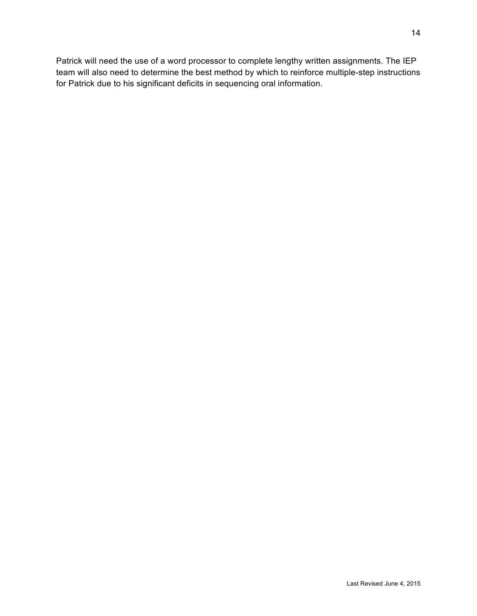Patrick will need the use of a word processor to complete lengthy written assignments. The IEP team will also need to determine the best method by which to reinforce multiple-step instructions for Patrick due to his significant deficits in sequencing oral information.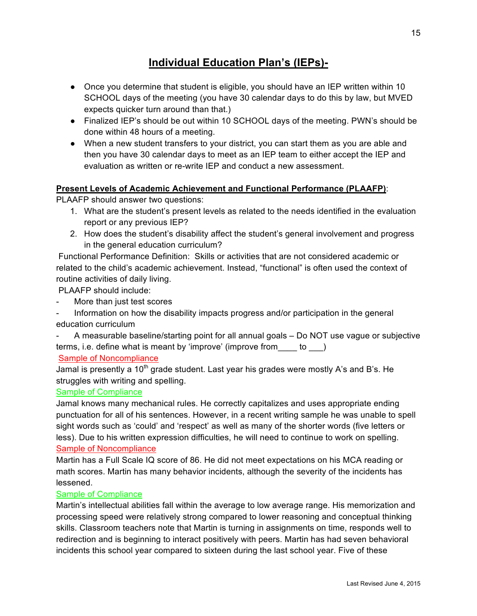## **Individual Education Plan's (IEPs)-**

- Once you determine that student is eligible, you should have an IEP written within 10 SCHOOL days of the meeting (you have 30 calendar days to do this by law, but MVED expects quicker turn around than that.)
- Finalized IEP's should be out within 10 SCHOOL days of the meeting. PWN's should be done within 48 hours of a meeting.
- When a new student transfers to your district, you can start them as you are able and then you have 30 calendar days to meet as an IEP team to either accept the IEP and evaluation as written or re-write IEP and conduct a new assessment.

#### **Present Levels of Academic Achievement and Functional Performance (PLAAFP)**:

PLAAFP should answer two questions:

- 1. What are the student's present levels as related to the needs identified in the evaluation report or any previous IEP?
- 2. How does the student's disability affect the student's general involvement and progress in the general education curriculum?

 Functional Performance Definition: Skills or activities that are not considered academic or related to the child's academic achievement. Instead, "functional" is often used the context of routine activities of daily living.

PLAAFP should include:

- More than just test scores
- Information on how the disability impacts progress and/or participation in the general education curriculum
- A measurable baseline/starting point for all annual goals Do NOT use vague or subjective terms, i.e. define what is meant by 'improve' (improve from to )

#### Sample of Noncompliance

Jamal is presently a  $10<sup>th</sup>$  grade student. Last year his grades were mostly A's and B's. He struggles with writing and spelling.

#### Sample of Compliance

Jamal knows many mechanical rules. He correctly capitalizes and uses appropriate ending punctuation for all of his sentences. However, in a recent writing sample he was unable to spell sight words such as 'could' and 'respect' as well as many of the shorter words (five letters or less). Due to his written expression difficulties, he will need to continue to work on spelling. Sample of Noncompliance

Martin has a Full Scale IQ score of 86. He did not meet expectations on his MCA reading or math scores. Martin has many behavior incidents, although the severity of the incidents has lessened.

#### Sample of Compliance

Martin's intellectual abilities fall within the average to low average range. His memorization and processing speed were relatively strong compared to lower reasoning and conceptual thinking skills. Classroom teachers note that Martin is turning in assignments on time, responds well to redirection and is beginning to interact positively with peers. Martin has had seven behavioral incidents this school year compared to sixteen during the last school year. Five of these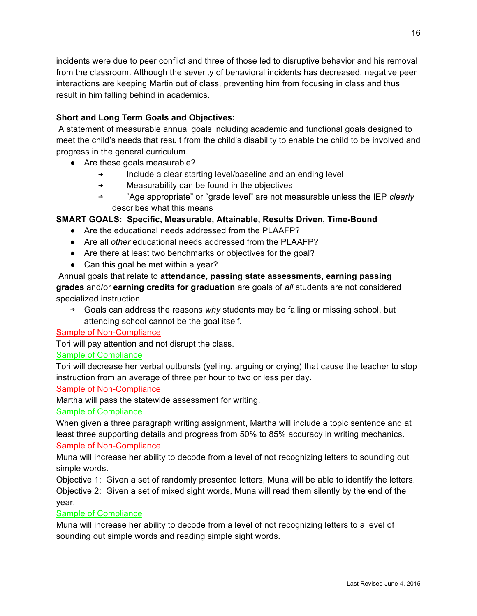incidents were due to peer conflict and three of those led to disruptive behavior and his removal from the classroom. Although the severity of behavioral incidents has decreased, negative peer interactions are keeping Martin out of class, preventing him from focusing in class and thus result in him falling behind in academics.

#### **Short and Long Term Goals and Objectives:**

 A statement of measurable annual goals including academic and functional goals designed to meet the child's needs that result from the child's disability to enable the child to be involved and progress in the general curriculum.

- Are these goals measurable?
	- ➔ Include a clear starting level/baseline and an ending level
	- ➔ Measurability can be found in the objectives
	- ➔ "Age appropriate" or "grade level" are not measurable unless the IEP *clearly* describes what this means

#### **SMART GOALS: Specific, Measurable, Attainable, Results Driven, Time-Bound**

- Are the educational needs addressed from the PLAAFP?
- Are all *other* educational needs addressed from the PLAAFP?
- Are there at least two benchmarks or objectives for the goal?
- Can this goal be met within a year?

 Annual goals that relate to **attendance, passing state assessments, earning passing grades** and/or **earning credits for graduation** are goals of *all* students are not considered specialized instruction.

➔ Goals can address the reasons *why* students may be failing or missing school, but attending school cannot be the goal itself.

Sample of Non-Compliance

Tori will pay attention and not disrupt the class.

#### Sample of Compliance

Tori will decrease her verbal outbursts (yelling, arguing or crying) that cause the teacher to stop instruction from an average of three per hour to two or less per day.

#### Sample of Non-Compliance

Martha will pass the statewide assessment for writing.

#### Sample of Compliance

When given a three paragraph writing assignment, Martha will include a topic sentence and at least three supporting details and progress from 50% to 85% accuracy in writing mechanics. Sample of Non-Compliance

Muna will increase her ability to decode from a level of not recognizing letters to sounding out simple words.

Objective 1: Given a set of randomly presented letters, Muna will be able to identify the letters. Objective 2: Given a set of mixed sight words, Muna will read them silently by the end of the year.

#### Sample of Compliance

Muna will increase her ability to decode from a level of not recognizing letters to a level of sounding out simple words and reading simple sight words.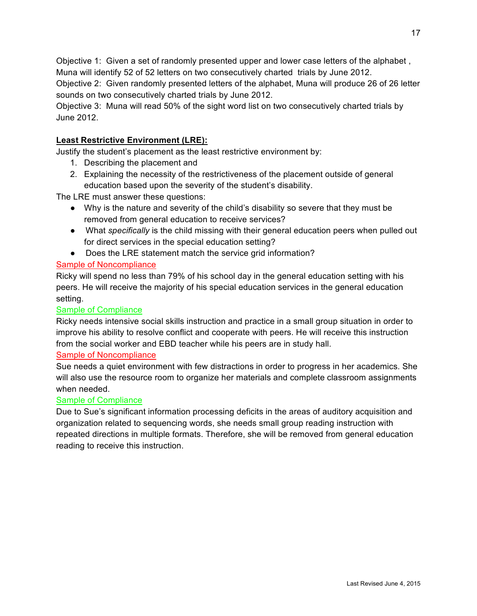Objective 1: Given a set of randomly presented upper and lower case letters of the alphabet , Muna will identify 52 of 52 letters on two consecutively charted trials by June 2012.

Objective 2: Given randomly presented letters of the alphabet, Muna will produce 26 of 26 letter sounds on two consecutively charted trials by June 2012.

Objective 3: Muna will read 50% of the sight word list on two consecutively charted trials by June 2012.

#### **Least Restrictive Environment (LRE):**

Justify the student's placement as the least restrictive environment by:

- 1. Describing the placement and
- 2. Explaining the necessity of the restrictiveness of the placement outside of general education based upon the severity of the student's disability.

The LRE must answer these questions:

- Why is the nature and severity of the child's disability so severe that they must be removed from general education to receive services?
- What *specifically* is the child missing with their general education peers when pulled out for direct services in the special education setting?
- Does the LRE statement match the service grid information?

#### Sample of Noncompliance

Ricky will spend no less than 79% of his school day in the general education setting with his peers. He will receive the majority of his special education services in the general education setting.

#### Sample of Compliance

Ricky needs intensive social skills instruction and practice in a small group situation in order to improve his ability to resolve conflict and cooperate with peers. He will receive this instruction from the social worker and EBD teacher while his peers are in study hall.

#### Sample of Noncompliance

Sue needs a quiet environment with few distractions in order to progress in her academics. She will also use the resource room to organize her materials and complete classroom assignments when needed.

#### Sample of Compliance

Due to Sue's significant information processing deficits in the areas of auditory acquisition and organization related to sequencing words, she needs small group reading instruction with repeated directions in multiple formats. Therefore, she will be removed from general education reading to receive this instruction.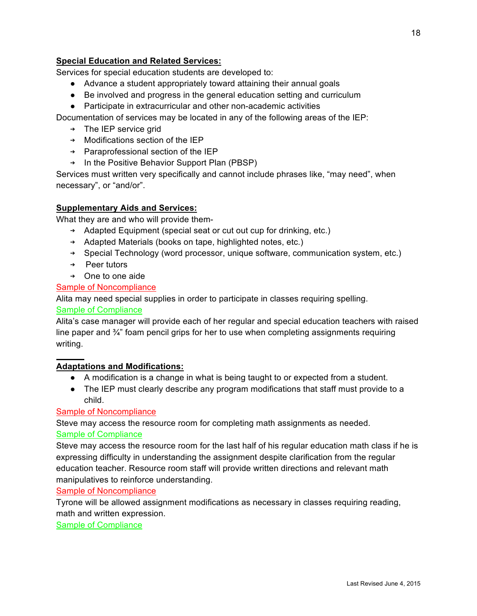#### **Special Education and Related Services:**

Services for special education students are developed to:

- Advance a student appropriately toward attaining their annual goals
- Be involved and progress in the general education setting and curriculum
- Participate in extracurricular and other non-academic activities

Documentation of services may be located in any of the following areas of the IEP:

- ➔ The IEP service grid
- ➔ Modifications section of the IEP
- ➔ Paraprofessional section of the IEP
- ➔ In the Positive Behavior Support Plan (PBSP)

Services must written very specifically and cannot include phrases like, "may need", when necessary", or "and/or".

#### **Supplementary Aids and Services:**

What they are and who will provide them-

- ➔ Adapted Equipment (special seat or cut out cup for drinking, etc.)
- ➔ Adapted Materials (books on tape, highlighted notes, etc.)
- ➔ Special Technology (word processor, unique software, communication system, etc.)
- ➔ Peer tutors
- ➔ One to one aide

#### Sample of Noncompliance

Alita may need special supplies in order to participate in classes requiring spelling.

#### Sample of Compliance

Alita's case manager will provide each of her regular and special education teachers with raised line paper and  $\frac{3}{4}$ " foam pencil grips for her to use when completing assignments requiring writing.

#### **Adaptations and Modifications:**

- A modification is a change in what is being taught to or expected from a student.
- The IEP must clearly describe any program modifications that staff must provide to a child.

#### Sample of Noncompliance

Steve may access the resource room for completing math assignments as needed. Sample of Compliance

Steve may access the resource room for the last half of his regular education math class if he is expressing difficulty in understanding the assignment despite clarification from the regular education teacher. Resource room staff will provide written directions and relevant math manipulatives to reinforce understanding.

#### Sample of Noncompliance

Tyrone will be allowed assignment modifications as necessary in classes requiring reading, math and written expression.

Sample of Compliance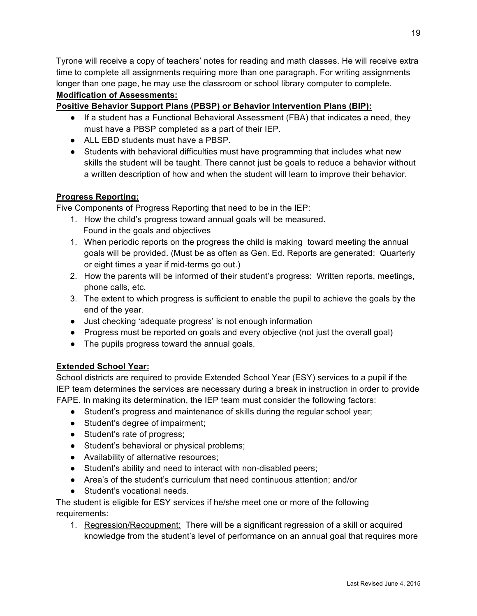Tyrone will receive a copy of teachers' notes for reading and math classes. He will receive extra time to complete all assignments requiring more than one paragraph. For writing assignments longer than one page, he may use the classroom or school library computer to complete.

#### **Modification of Assessments:**

#### **Positive Behavior Support Plans (PBSP) or Behavior Intervention Plans (BIP):**

- If a student has a Functional Behavioral Assessment (FBA) that indicates a need, they must have a PBSP completed as a part of their IEP.
- ALL EBD students must have a PBSP.
- Students with behavioral difficulties must have programming that includes what new skills the student will be taught. There cannot just be goals to reduce a behavior without a written description of how and when the student will learn to improve their behavior.

#### **Progress Reporting:**

Five Components of Progress Reporting that need to be in the IEP:

- 1. How the child's progress toward annual goals will be measured. Found in the goals and objectives
- 1. When periodic reports on the progress the child is making toward meeting the annual goals will be provided. (Must be as often as Gen. Ed. Reports are generated: Quarterly or eight times a year if mid-terms go out.)
- 2. How the parents will be informed of their student's progress: Written reports, meetings, phone calls, etc.
- 3. The extent to which progress is sufficient to enable the pupil to achieve the goals by the end of the year.
- Just checking 'adequate progress' is not enough information
- Progress must be reported on goals and every objective (not just the overall goal)
- The pupils progress toward the annual goals.

#### **Extended School Year:**

School districts are required to provide Extended School Year (ESY) services to a pupil if the IEP team determines the services are necessary during a break in instruction in order to provide FAPE. In making its determination, the IEP team must consider the following factors:

- Student's progress and maintenance of skills during the regular school year;
- Student's degree of impairment;
- Student's rate of progress;
- Student's behavioral or physical problems;
- Availability of alternative resources;
- Student's ability and need to interact with non-disabled peers;
- Area's of the student's curriculum that need continuous attention; and/or
- Student's vocational needs.

The student is eligible for ESY services if he/she meet one or more of the following requirements:

1. Regression/Recoupment: There will be a significant regression of a skill or acquired knowledge from the student's level of performance on an annual goal that requires more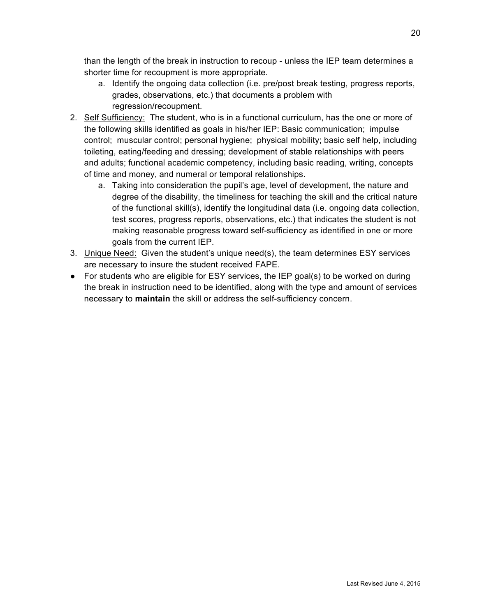than the length of the break in instruction to recoup - unless the IEP team determines a shorter time for recoupment is more appropriate.

- a. Identify the ongoing data collection (i.e. pre/post break testing, progress reports, grades, observations, etc.) that documents a problem with regression/recoupment.
- 2. Self Sufficiency: The student, who is in a functional curriculum, has the one or more of the following skills identified as goals in his/her IEP: Basic communication; impulse control; muscular control; personal hygiene; physical mobility; basic self help, including toileting, eating/feeding and dressing; development of stable relationships with peers and adults; functional academic competency, including basic reading, writing, concepts of time and money, and numeral or temporal relationships.
	- a. Taking into consideration the pupil's age, level of development, the nature and degree of the disability, the timeliness for teaching the skill and the critical nature of the functional skill(s), identify the longitudinal data (i.e. ongoing data collection, test scores, progress reports, observations, etc.) that indicates the student is not making reasonable progress toward self-sufficiency as identified in one or more goals from the current IEP.
- 3. Unique Need: Given the student's unique need(s), the team determines ESY services are necessary to insure the student received FAPE.
- For students who are eligible for ESY services, the IEP goal(s) to be worked on during the break in instruction need to be identified, along with the type and amount of services necessary to **maintain** the skill or address the self-sufficiency concern.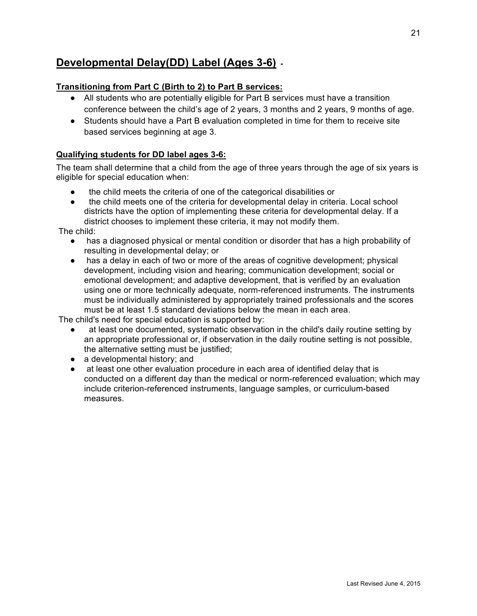## **Developmental Delay(DD) Label (Ages 3-6) -**

#### **Transitioning from Part C (Birth to 2) to Part B services:**

- All students who are potentially eligible for Part B services must have a transition conference between the child's age of 2 years, 3 months and 2 years, 9 months of age.
- Students should have a Part B evaluation completed in time for them to receive site based services beginning at age 3.

#### **Qualifying students for DD label ages 3-6:**

The team shall determine that a child from the age of three years through the age of six years is eligible for special education when:

- the child meets the criteria of one of the categorical disabilities or
- the child meets one of the criteria for developmental delay in criteria. Local school districts have the option of implementing these criteria for developmental delay. If a district chooses to implement these criteria, it may not modify them.

The child:

- has a diagnosed physical or mental condition or disorder that has a high probability of resulting in developmental delay; or
- has a delay in each of two or more of the areas of cognitive development; physical development, including vision and hearing; communication development; social or emotional development; and adaptive development, that is verified by an evaluation using one or more technically adequate, norm-referenced instruments. The instruments must be individually administered by appropriately trained professionals and the scores must be at least 1.5 standard deviations below the mean in each area.

The child's need for special education is supported by:

- at least one documented, systematic observation in the child's daily routine setting by an appropriate professional or, if observation in the daily routine setting is not possible, the alternative setting must be justified;
- a developmental history; and
- at least one other evaluation procedure in each area of identified delay that is conducted on a different day than the medical or norm-referenced evaluation; which may include criterion-referenced instruments, language samples, or curriculum-based measures.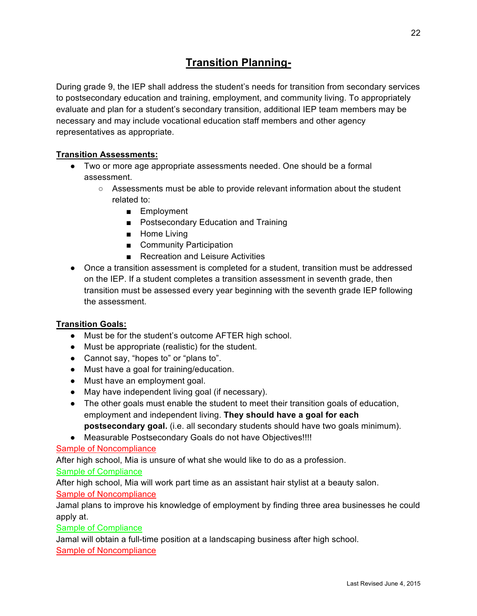## **Transition Planning-**

During grade 9, the IEP shall address the student's needs for transition from secondary services to postsecondary education and training, employment, and community living. To appropriately evaluate and plan for a student's secondary transition, additional IEP team members may be necessary and may include vocational education staff members and other agency representatives as appropriate.

#### **Transition Assessments:**

- Two or more age appropriate assessments needed. One should be a formal assessment.
	- Assessments must be able to provide relevant information about the student related to:
		- Employment
		- Postsecondary Education and Training
		- Home Living
		- Community Participation
		- Recreation and Leisure Activities
- Once a transition assessment is completed for a student, transition must be addressed on the IEP. If a student completes a transition assessment in seventh grade, then transition must be assessed every year beginning with the seventh grade IEP following the assessment.

#### **Transition Goals:**

- Must be for the student's outcome AFTER high school.
- Must be appropriate (realistic) for the student.
- Cannot say, "hopes to" or "plans to".
- Must have a goal for training/education.
- Must have an employment goal.
- May have independent living goal (if necessary).
- The other goals must enable the student to meet their transition goals of education, employment and independent living. **They should have a goal for each postsecondary goal.** (i.e. all secondary students should have two goals minimum).
- Measurable Postsecondary Goals do not have Objectives!!!!

#### Sample of Noncompliance

After high school, Mia is unsure of what she would like to do as a profession.

#### Sample of Compliance

After high school, Mia will work part time as an assistant hair stylist at a beauty salon.

#### Sample of Noncompliance

Jamal plans to improve his knowledge of employment by finding three area businesses he could apply at.

#### Sample of Compliance

Jamal will obtain a full-time position at a landscaping business after high school. Sample of Noncompliance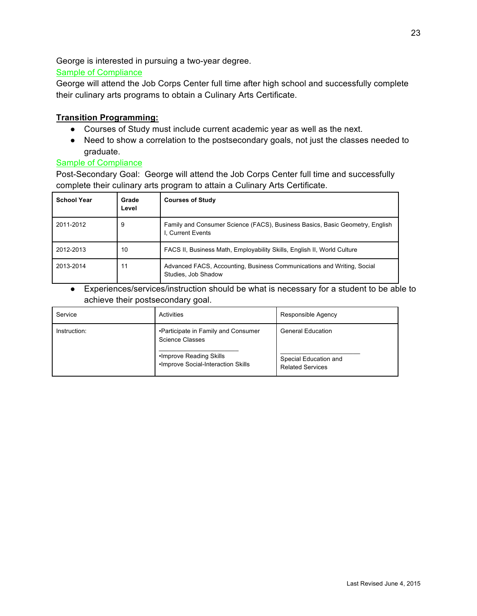George is interested in pursuing a two-year degree.

#### Sample of Compliance

George will attend the Job Corps Center full time after high school and successfully complete their culinary arts programs to obtain a Culinary Arts Certificate.

#### **Transition Programming:**

- Courses of Study must include current academic year as well as the next.
- Need to show a correlation to the postsecondary goals, not just the classes needed to graduate.

#### Sample of Compliance

Post-Secondary Goal: George will attend the Job Corps Center full time and successfully complete their culinary arts program to attain a Culinary Arts Certificate.

| <b>School Year</b> | Grade<br>Level | <b>Courses of Study</b>                                                                           |
|--------------------|----------------|---------------------------------------------------------------------------------------------------|
| 2011-2012          | 9              | Family and Consumer Science (FACS), Business Basics, Basic Geometry, English<br>I. Current Events |
| 2012-2013          | 10             | FACS II, Business Math, Employability Skills, English II, World Culture                           |
| 2013-2014          | 11             | Advanced FACS, Accounting, Business Communications and Writing, Social<br>Studies, Job Shadow     |

● Experiences/services/instruction should be what is necessary for a student to be able to achieve their postsecondary goal.

| Service      | Activities                                                     | Responsible Agency                               |
|--------------|----------------------------------------------------------------|--------------------------------------------------|
| Instruction: | •Participate in Family and Consumer<br>Science Classes         | <b>General Education</b>                         |
|              | •Improve Reading Skills<br>. Improve Social-Interaction Skills | Special Education and<br><b>Related Services</b> |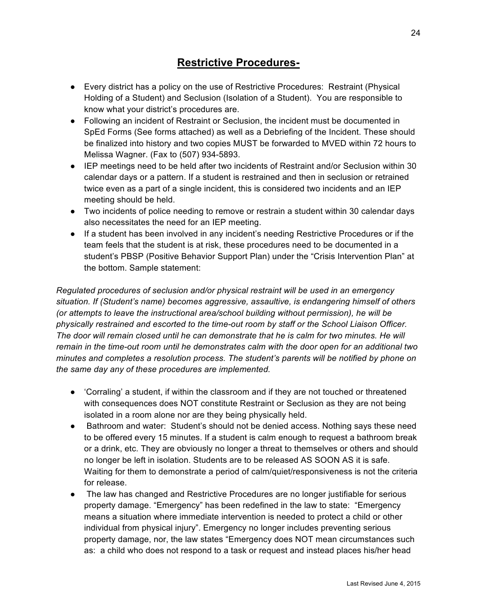## **Restrictive Procedures-**

- Every district has a policy on the use of Restrictive Procedures: Restraint (Physical Holding of a Student) and Seclusion (Isolation of a Student). You are responsible to know what your district's procedures are.
- Following an incident of Restraint or Seclusion, the incident must be documented in SpEd Forms (See forms attached) as well as a Debriefing of the Incident. These should be finalized into history and two copies MUST be forwarded to MVED within 72 hours to Melissa Wagner. (Fax to (507) 934-5893.
- IEP meetings need to be held after two incidents of Restraint and/or Seclusion within 30 calendar days or a pattern. If a student is restrained and then in seclusion or retrained twice even as a part of a single incident, this is considered two incidents and an IEP meeting should be held.
- Two incidents of police needing to remove or restrain a student within 30 calendar days also necessitates the need for an IEP meeting.
- If a student has been involved in any incident's needing Restrictive Procedures or if the team feels that the student is at risk, these procedures need to be documented in a student's PBSP (Positive Behavior Support Plan) under the "Crisis Intervention Plan" at the bottom. Sample statement:

*Regulated procedures of seclusion and/or physical restraint will be used in an emergency situation. If (Student's name) becomes aggressive, assaultive, is endangering himself of others (or attempts to leave the instructional area/school building without permission), he will be physically restrained and escorted to the time-out room by staff or the School Liaison Officer.* The door will remain closed until he can demonstrate that he is calm for two minutes. He will *remain in the time-out room until he demonstrates calm with the door open for an additional two minutes and completes a resolution process. The student's parents will be notified by phone on the same day any of these procedures are implemented.*

- 'Corraling' a student, if within the classroom and if they are not touched or threatened with consequences does NOT constitute Restraint or Seclusion as they are not being isolated in a room alone nor are they being physically held.
- Bathroom and water: Student's should not be denied access. Nothing says these need to be offered every 15 minutes. If a student is calm enough to request a bathroom break or a drink, etc. They are obviously no longer a threat to themselves or others and should no longer be left in isolation. Students are to be released AS SOON AS it is safe. Waiting for them to demonstrate a period of calm/quiet/responsiveness is not the criteria for release.
- The law has changed and Restrictive Procedures are no longer justifiable for serious property damage. "Emergency" has been redefined in the law to state: "Emergency means a situation where immediate intervention is needed to protect a child or other individual from physical injury". Emergency no longer includes preventing serious property damage, nor, the law states "Emergency does NOT mean circumstances such as: a child who does not respond to a task or request and instead places his/her head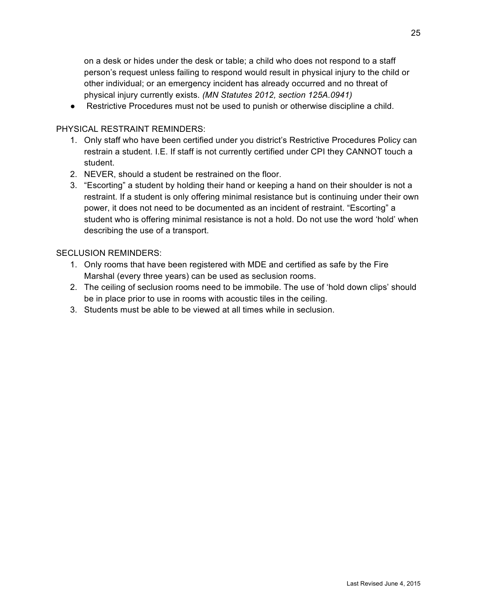on a desk or hides under the desk or table; a child who does not respond to a staff person's request unless failing to respond would result in physical injury to the child or other individual; or an emergency incident has already occurred and no threat of physical injury currently exists. *(MN Statutes 2012, section 125A.0941)*

● Restrictive Procedures must not be used to punish or otherwise discipline a child.

#### PHYSICAL RESTRAINT REMINDERS:

- 1. Only staff who have been certified under you district's Restrictive Procedures Policy can restrain a student. I.E. If staff is not currently certified under CPI they CANNOT touch a student.
- 2. NEVER, should a student be restrained on the floor.
- 3. "Escorting" a student by holding their hand or keeping a hand on their shoulder is not a restraint. If a student is only offering minimal resistance but is continuing under their own power, it does not need to be documented as an incident of restraint. "Escorting" a student who is offering minimal resistance is not a hold. Do not use the word 'hold' when describing the use of a transport.

#### SECLUSION REMINDERS:

- 1. Only rooms that have been registered with MDE and certified as safe by the Fire Marshal (every three years) can be used as seclusion rooms.
- 2. The ceiling of seclusion rooms need to be immobile. The use of 'hold down clips' should be in place prior to use in rooms with acoustic tiles in the ceiling.
- 3. Students must be able to be viewed at all times while in seclusion.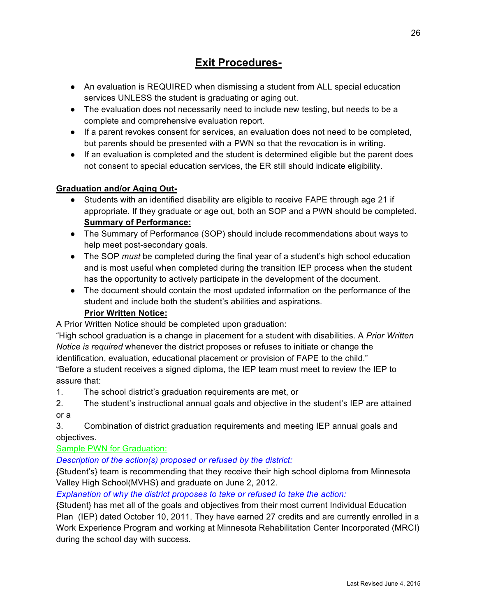## **Exit Procedures-**

- An evaluation is REQUIRED when dismissing a student from ALL special education services UNLESS the student is graduating or aging out.
- The evaluation does not necessarily need to include new testing, but needs to be a complete and comprehensive evaluation report.
- If a parent revokes consent for services, an evaluation does not need to be completed, but parents should be presented with a PWN so that the revocation is in writing.
- If an evaluation is completed and the student is determined eligible but the parent does not consent to special education services, the ER still should indicate eligibility.

#### **Graduation and/or Aging Out-**

- Students with an identified disability are eligible to receive FAPE through age 21 if appropriate. If they graduate or age out, both an SOP and a PWN should be completed. **Summary of Performance:**
- The Summary of Performance (SOP) should include recommendations about ways to help meet post-secondary goals.
- The SOP *must* be completed during the final year of a student's high school education and is most useful when completed during the transition IEP process when the student has the opportunity to actively participate in the development of the document.
- The document should contain the most updated information on the performance of the student and include both the student's abilities and aspirations.

#### **Prior Written Notice:**

A Prior Written Notice should be completed upon graduation:

"High school graduation is a change in placement for a student with disabilities. A *Prior Written Notice is required* whenever the district proposes or refuses to initiate or change the identification, evaluation, educational placement or provision of FAPE to the child."

"Before a student receives a signed diploma, the IEP team must meet to review the IEP to assure that:

1. The school district's graduation requirements are met, or

2. The student's instructional annual goals and objective in the student's IEP are attained or a

3. Combination of district graduation requirements and meeting IEP annual goals and objectives.

Sample PWN for Graduation:

*Description of the action(s) proposed or refused by the district:*

{Student's} team is recommending that they receive their high school diploma from Minnesota Valley High School(MVHS) and graduate on June 2, 2012.

*Explanation of why the district proposes to take or refused to take the action:*

{Student} has met all of the goals and objectives from their most current Individual Education Plan (IEP) dated October 10, 2011. They have earned 27 credits and are currently enrolled in a Work Experience Program and working at Minnesota Rehabilitation Center Incorporated (MRCI) during the school day with success.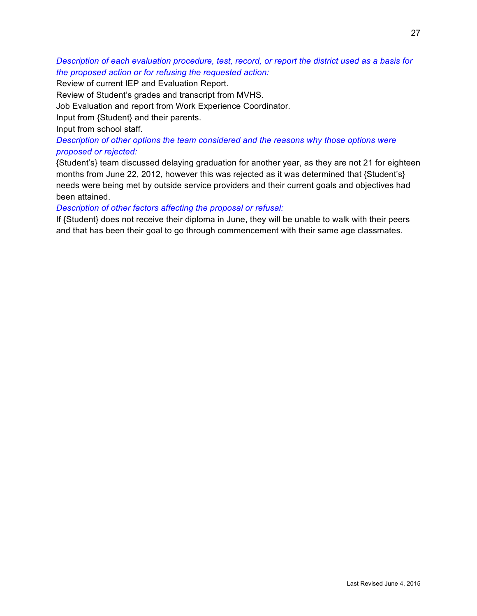#### *Description of each evaluation procedure, test, record, or report the district used as a basis for the proposed action or for refusing the requested action:*

Review of current IEP and Evaluation Report.

Review of Student's grades and transcript from MVHS.

Job Evaluation and report from Work Experience Coordinator.

Input from {Student} and their parents.

Input from school staff.

*Description of other options the team considered and the reasons why those options were proposed or rejected:*

{Student's} team discussed delaying graduation for another year, as they are not 21 for eighteen months from June 22, 2012, however this was rejected as it was determined that {Student's} needs were being met by outside service providers and their current goals and objectives had been attained.

#### *Description of other factors affecting the proposal or refusal:*

If {Student} does not receive their diploma in June, they will be unable to walk with their peers and that has been their goal to go through commencement with their same age classmates.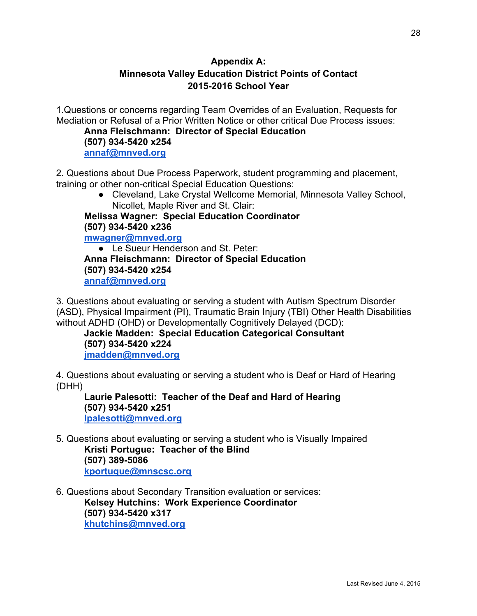### **Appendix A: Minnesota Valley Education District Points of Contact 2015-2016 School Year**

1.Questions or concerns regarding Team Overrides of an Evaluation, Requests for Mediation or Refusal of a Prior Written Notice or other critical Due Process issues:

**Anna Fleischmann: Director of Special Education (507) 934-5420 x254 annaf@mnved.org**

2. Questions about Due Process Paperwork, student programming and placement, training or other non-critical Special Education Questions:

● Cleveland, Lake Crystal Wellcome Memorial, Minnesota Valley School, Nicollet, Maple River and St. Clair:

**Melissa Wagner: Special Education Coordinator (507) 934-5420 x236 mwagner@mnved.org**

● Le Sueur Henderson and St. Peter: **Anna Fleischmann: Director of Special Education (507) 934-5420 x254 annaf@mnved.org**

3. Questions about evaluating or serving a student with Autism Spectrum Disorder (ASD), Physical Impairment (PI), Traumatic Brain Injury (TBI) Other Health Disabilities without ADHD (OHD) or Developmentally Cognitively Delayed (DCD):

**Jackie Madden: Special Education Categorical Consultant (507) 934-5420 x224**

**jmadden@mnved.org**

4. Questions about evaluating or serving a student who is Deaf or Hard of Hearing (DHH)

**Laurie Palesotti: Teacher of the Deaf and Hard of Hearing (507) 934-5420 x251 lpalesotti@mnved.org**

5. Questions about evaluating or serving a student who is Visually Impaired **Kristi Portugue: Teacher of the Blind (507) 389-5086**

**kportugue@mnscsc.org**

6. Questions about Secondary Transition evaluation or services: **Kelsey Hutchins: Work Experience Coordinator**

**(507) 934-5420 x317 khutchins@mnved.org**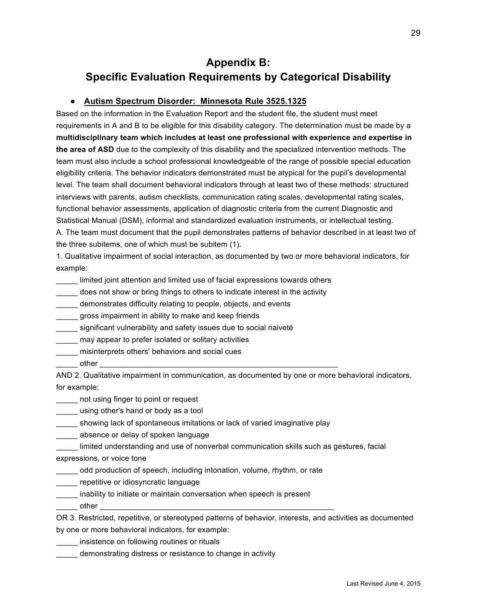## **Appendix B: Specific Evaluation Requirements by Categorical Disability**

#### ● **Autism Spectrum Disorder: Minnesota Rule 3525.1325**

Based on the information in the Evaluation Report and the student file, the student must meet requirements in A and B to be eligible for this disability category. The determination must be made by a **multidisciplinary team which includes at least one professional with experience and expertise in the area of ASD** due to the complexity of this disability and the specialized intervention methods. The team must also include a school professional knowledgeable of the range of possible special education eligibility criteria. The behavior indicators demonstrated must be atypical for the pupil's developmental level. The team shall document behavioral indicators through at least two of these methods: structured interviews with parents, autism checklists, communication rating scales, developmental rating scales, functional behavior assessments, application of diagnostic criteria from the current Diagnostic and Statistical Manual (DSM), informal and standardized evaluation instruments, or intellectual testing. A. The team must document that the pupil demonstrates patterns of behavior described in at least two of the three subitems, one of which must be subitem (1).

1. Qualitative impairment of social interaction, as documented by two or more behavioral indicators, for example:

\_\_\_\_\_ limited joint attention and limited use of facial expressions towards others

does not show or bring things to others to indicate interest in the activity

\_\_\_\_\_ demonstrates difficulty relating to people, objects, and events

gross impairment in ability to make and keep friends

significant vulnerability and safety issues due to social naiveté

\_\_\_\_\_ may appear to prefer isolated or solitary activities

\_\_\_\_\_ misinterprets others' behaviors and social cues

 $other$ 

AND 2. Qualitative impairment in communication, as documented by one or more behavioral indicators, for example:

\_\_\_\_\_ not using finger to point or request

using other's hand or body as a tool

showing lack of spontaneous imitations or lack of varied imaginative play

absence or delay of spoken language

limited understanding and use of nonverbal communication skills such as gestures, facial expressions, or voice tone

odd production of speech, including intonation, volume, rhythm, or rate

\_\_\_\_\_ repetitive or idiosyncratic language

inability to initiate or maintain conversation when speech is present

\_\_\_\_\_ other \_\_\_\_\_\_\_\_\_\_\_\_\_\_\_\_\_\_\_\_\_\_\_\_\_\_\_\_\_\_\_\_\_\_\_\_\_\_\_\_\_\_\_\_\_\_\_\_\_\_\_\_\_\_

OR 3. Restricted, repetitive, or stereotyped patterns of behavior, interests, and activities as documented by one or more behavioral indicators, for example:

\_\_\_\_\_ insistence on following routines or rituals

\_\_\_\_\_ demonstrating distress or resistance to change in activity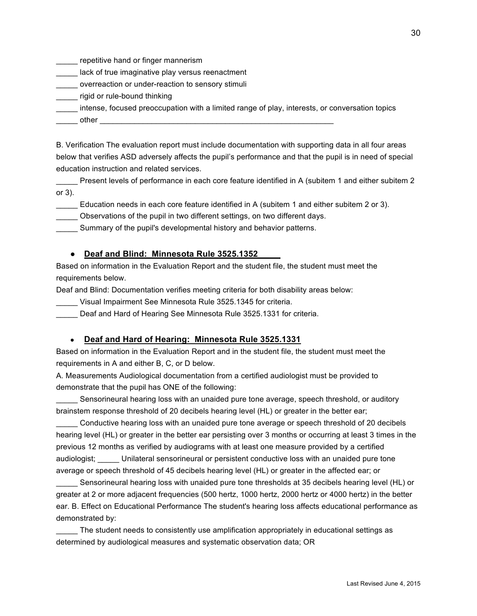\_\_\_\_\_ repetitive hand or finger mannerism

**The Lack of true imaginative play versus reenactment** 

\_\_\_\_\_ overreaction or under-reaction to sensory stimuli

\_\_\_\_\_ rigid or rule-bound thinking

\_\_\_\_\_ intense, focused preoccupation with a limited range of play, interests, or conversation topics

 $\_$  other

B. Verification The evaluation report must include documentation with supporting data in all four areas below that verifies ASD adversely affects the pupil's performance and that the pupil is in need of special education instruction and related services.

Present levels of performance in each core feature identified in A (subitem 1 and either subitem 2 or 3).

\_\_\_\_\_ Education needs in each core feature identified in A (subitem 1 and either subitem 2 or 3).

\_\_\_\_\_ Observations of the pupil in two different settings, on two different days.

Summary of the pupil's developmental history and behavior patterns.

#### ● **Deaf and Blind: Minnesota Rule 3525.1352**

Based on information in the Evaluation Report and the student file, the student must meet the requirements below.

Deaf and Blind: Documentation verifies meeting criteria for both disability areas below:

\_\_\_\_\_ Visual Impairment See Minnesota Rule 3525.1345 for criteria.

Deaf and Hard of Hearing See Minnesota Rule 3525.1331 for criteria.

#### ● **Deaf and Hard of Hearing: Minnesota Rule 3525.1331**

Based on information in the Evaluation Report and in the student file, the student must meet the requirements in A and either B, C, or D below.

A. Measurements Audiological documentation from a certified audiologist must be provided to demonstrate that the pupil has ONE of the following:

Sensorineural hearing loss with an unaided pure tone average, speech threshold, or auditory brainstem response threshold of 20 decibels hearing level (HL) or greater in the better ear;

\_\_\_\_\_ Conductive hearing loss with an unaided pure tone average or speech threshold of 20 decibels hearing level (HL) or greater in the better ear persisting over 3 months or occurring at least 3 times in the previous 12 months as verified by audiograms with at least one measure provided by a certified audiologist; \_\_\_\_\_ Unilateral sensorineural or persistent conductive loss with an unaided pure tone average or speech threshold of 45 decibels hearing level (HL) or greater in the affected ear; or

Sensorineural hearing loss with unaided pure tone thresholds at 35 decibels hearing level (HL) or greater at 2 or more adjacent frequencies (500 hertz, 1000 hertz, 2000 hertz or 4000 hertz) in the better ear. B. Effect on Educational Performance The student's hearing loss affects educational performance as demonstrated by:

The student needs to consistently use amplification appropriately in educational settings as determined by audiological measures and systematic observation data; OR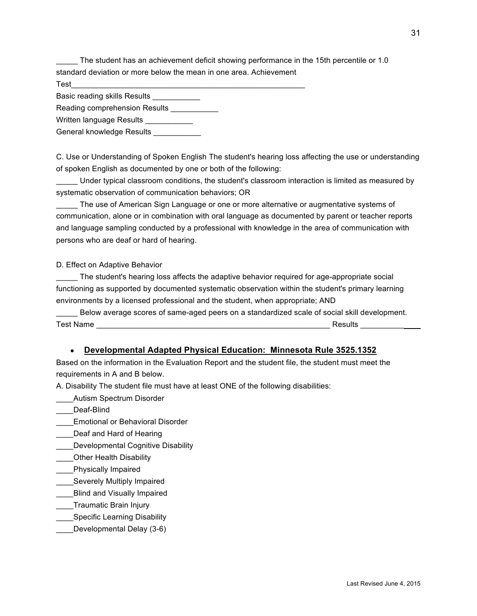The student has an achievement deficit showing performance in the 15th percentile or 1.0 standard deviation or more below the mean in one area. Achievement

 $\textsf{Test} \textcolor{red}{\overline{\phantom{a}}}\textcolor{red}{\overline{\phantom{a}}}\textcolor{red}{\overline{\phantom{a}}}\textcolor{red}{\overline{\phantom{a}}}\textcolor{red}{\overline{\phantom{a}}}\textcolor{red}{\overline{\phantom{a}}}\textcolor{red}{\overline{\phantom{a}}}\textcolor{red}{\overline{\phantom{a}}}\textcolor{red}{\overline{\phantom{a}}}\textcolor{red}{\overline{\phantom{a}}}\textcolor{red}{\overline{\phantom{a}}}\textcolor{red}{\overline{\phantom{a}}}\textcolor{red}{\overline{\phantom{a}}}\textcolor{red}{\overline{\phantom{a}}}\textcolor{$ 

Basic reading skills Results \_\_\_\_\_\_\_\_\_\_\_

Reading comprehension Results

Written language Results \_\_\_\_\_\_\_\_\_

General knowledge Results \_\_\_\_\_\_\_\_\_\_\_\_

C. Use or Understanding of Spoken English The student's hearing loss affecting the use or understanding of spoken English as documented by one or both of the following:

\_\_\_\_\_ Under typical classroom conditions, the student's classroom interaction is limited as measured by systematic observation of communication behaviors; OR

The use of American Sign Language or one or more alternative or augmentative systems of communication, alone or in combination with oral language as documented by parent or teacher reports and language sampling conducted by a professional with knowledge in the area of communication with persons who are deaf or hard of hearing.

#### D. Effect on Adaptive Behavior

\_\_\_\_\_ The student's hearing loss affects the adaptive behavior required for age-appropriate social functioning as supported by documented systematic observation within the student's primary learning environments by a licensed professional and the student, when appropriate; AND

Below average scores of same-aged peers on a standardized scale of social skill development. Test Name \_\_\_\_\_\_\_\_\_\_\_\_\_\_\_\_\_\_\_\_\_\_\_\_\_\_\_\_\_\_\_\_\_\_\_\_\_\_\_\_\_\_\_\_\_\_\_\_\_\_\_\_\_\_ Results \_\_\_\_\_\_\_\_\_\_

#### ● **Developmental Adapted Physical Education: Minnesota Rule 3525.1352**

Based on the information in the Evaluation Report and the student file, the student must meet the requirements in A and B below.

A. Disability The student file must have at least ONE of the following disabilities:

\_\_\_\_Autism Spectrum Disorder

Deaf-Blind

- \_\_\_\_Emotional or Behavioral Disorder
- Deaf and Hard of Hearing
- Developmental Cognitive Disability
- \_\_\_\_Other Health Disability
- \_\_\_\_Physically Impaired
- Severely Multiply Impaired
- \_\_\_\_Blind and Visually Impaired
- \_\_\_\_Traumatic Brain Injury
- Specific Learning Disability
- \_\_\_\_Developmental Delay (3-6)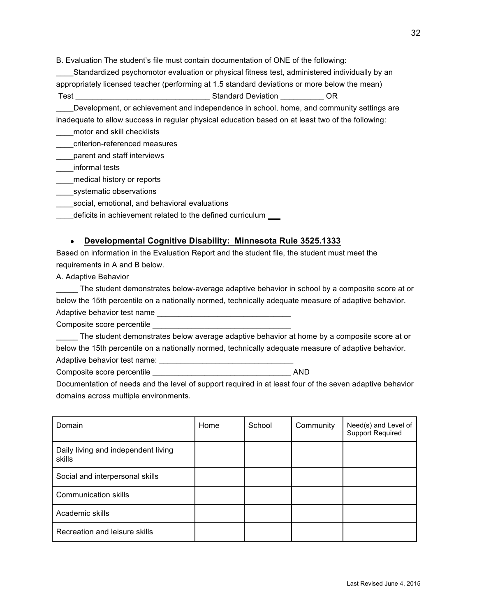B. Evaluation The student's file must contain documentation of ONE of the following:

\_\_\_\_Standardized psychomotor evaluation or physical fitness test, administered individually by an appropriately licensed teacher (performing at 1.5 standard deviations or more below the mean) Test \_\_\_\_\_\_\_\_\_\_\_\_\_\_\_\_\_\_\_\_\_\_\_\_\_\_\_\_\_\_\_ Standard Deviation \_\_\_\_\_\_\_\_\_\_ OR

Development, or achievement and independence in school, home, and community settings are inadequate to allow success in regular physical education based on at least two of the following:

\_\_\_\_motor and skill checklists

\_\_\_\_criterion-referenced measures

\_\_\_\_parent and staff interviews

\_\_\_\_informal tests

\_\_\_\_medical history or reports

\_\_\_\_systematic observations

social, emotional, and behavioral evaluations

deficits in achievement related to the defined curriculum

#### ● **Developmental Cognitive Disability: Minnesota Rule 3525.1333**

Based on information in the Evaluation Report and the student file, the student must meet the requirements in A and B below.

A. Adaptive Behavior

The student demonstrates below-average adaptive behavior in school by a composite score at or below the 15th percentile on a nationally normed, technically adequate measure of adaptive behavior. Adaptive behavior test name

Composite score percentile

The student demonstrates below average adaptive behavior at home by a composite score at or below the 15th percentile on a nationally normed, technically adequate measure of adaptive behavior. Adaptive behavior test name:  $\blacksquare$ 

Composite score percentile **AND** 

Documentation of needs and the level of support required in at least four of the seven adaptive behavior domains across multiple environments.

| Domain                                        | Home | School | Community | Need(s) and Level of<br><b>Support Required</b> |
|-----------------------------------------------|------|--------|-----------|-------------------------------------------------|
| Daily living and independent living<br>skills |      |        |           |                                                 |
| Social and interpersonal skills               |      |        |           |                                                 |
| <b>Communication skills</b>                   |      |        |           |                                                 |
| Academic skills                               |      |        |           |                                                 |
| Recreation and leisure skills                 |      |        |           |                                                 |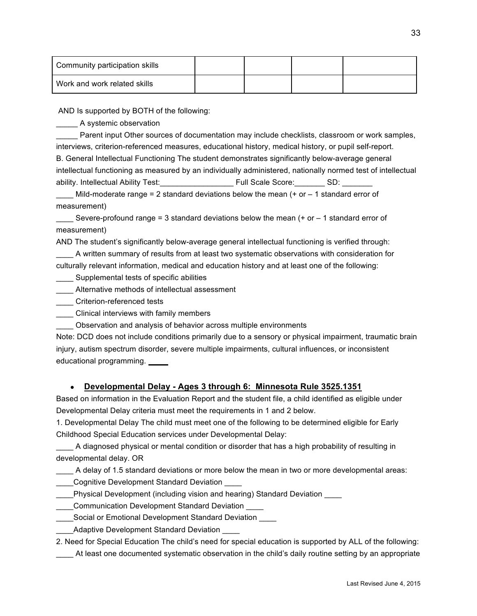| Community participation skills |  |  |
|--------------------------------|--|--|
| Work and work related skills   |  |  |

AND Is supported by BOTH of the following:

\_\_\_\_\_ A systemic observation

Parent input Other sources of documentation may include checklists, classroom or work samples, interviews, criterion-referenced measures, educational history, medical history, or pupil self-report.

B. General Intellectual Functioning The student demonstrates significantly below-average general intellectual functioning as measured by an individually administered, nationally normed test of intellectual ability. Intellectual Ability Test: entity and the Score: All Scale Score: All Scale Score: All Scale Score: Al

Mild-moderate range = 2 standard deviations below the mean  $(+)$  or  $-1$  standard error of measurement)

 $\_$  Severe-profound range = 3 standard deviations below the mean (+ or  $-$  1 standard error of measurement)

AND The student's significantly below-average general intellectual functioning is verified through:

\_\_\_\_ A written summary of results from at least two systematic observations with consideration for culturally relevant information, medical and education history and at least one of the following:

- Supplemental tests of specific abilities
- \_\_\_\_ Alternative methods of intellectual assessment

\_\_\_\_ Criterion-referenced tests

\_\_\_\_ Clinical interviews with family members

\_\_\_\_ Observation and analysis of behavior across multiple environments

Note: DCD does not include conditions primarily due to a sensory or physical impairment, traumatic brain injury, autism spectrum disorder, severe multiple impairments, cultural influences, or inconsistent educational programming.

#### ● **Developmental Delay - Ages 3 through 6: Minnesota Rule 3525.1351**

Based on information in the Evaluation Report and the student file, a child identified as eligible under Developmental Delay criteria must meet the requirements in 1 and 2 below.

1. Developmental Delay The child must meet one of the following to be determined eligible for Early Childhood Special Education services under Developmental Delay:

A diagnosed physical or mental condition or disorder that has a high probability of resulting in developmental delay. OR

A delay of 1.5 standard deviations or more below the mean in two or more developmental areas:

- Cognitive Development Standard Deviation
- Physical Development (including vision and hearing) Standard Deviation
- \_\_\_\_Communication Development Standard Deviation \_\_\_\_
- \_\_\_\_Social or Emotional Development Standard Deviation \_\_\_\_
- Adaptive Development Standard Deviation

2. Need for Special Education The child's need for special education is supported by ALL of the following:

At least one documented systematic observation in the child's daily routine setting by an appropriate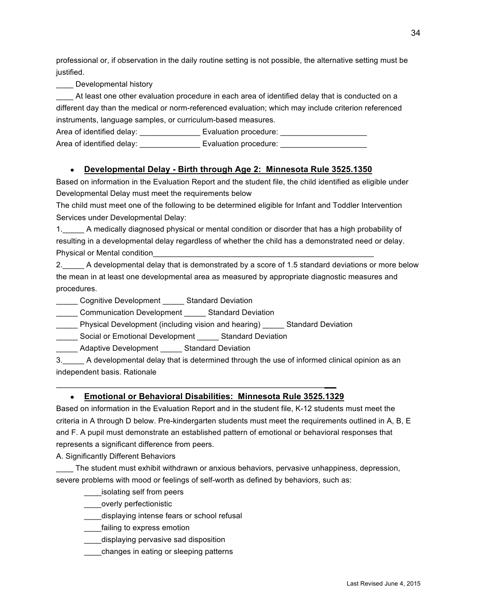professional or, if observation in the daily routine setting is not possible, the alternative setting must be justified.

**\_\_\_\_** Developmental history

At least one other evaluation procedure in each area of identified delay that is conducted on a different day than the medical or norm-referenced evaluation; which may include criterion referenced instruments, language samples, or curriculum-based measures.

Area of identified delay: \_\_\_\_\_\_\_\_\_\_\_\_\_\_ Evaluation procedure: \_\_\_\_\_\_\_\_\_\_\_\_\_\_\_\_\_\_\_\_ Area of identified delay: \_\_\_\_\_\_\_\_\_\_\_\_\_\_\_\_\_\_ Evaluation procedure: \_\_\_\_\_\_\_\_\_\_\_\_\_

#### ● **Developmental Delay - Birth through Age 2: Minnesota Rule 3525.1350**

Based on information in the Evaluation Report and the student file, the child identified as eligible under Developmental Delay must meet the requirements below

The child must meet one of the following to be determined eligible for Infant and Toddler Intervention Services under Developmental Delay:

1.\_\_\_\_\_ A medically diagnosed physical or mental condition or disorder that has a high probability of resulting in a developmental delay regardless of whether the child has a demonstrated need or delay. Physical or Mental condition

2.\_\_\_\_\_ A developmental delay that is demonstrated by a score of 1.5 standard deviations or more below the mean in at least one developmental area as measured by appropriate diagnostic measures and procedures.

\_\_\_\_\_ Cognitive Development \_\_\_\_\_ Standard Deviation

\_\_\_\_\_ Communication Development \_\_\_\_\_ Standard Deviation

\_\_\_\_\_ Physical Development (including vision and hearing) \_\_\_\_\_ Standard Deviation

Social or Emotional Development Standard Deviation

Adaptive Development Standard Deviation

3.\_\_\_\_\_ A developmental delay that is determined through the use of informed clinical opinion as an independent basis. Rationale

#### ● **Emotional or Behavioral Disabilities: Minnesota Rule 3525.1329**

\_\_\_\_\_\_\_\_\_\_\_\_\_\_\_\_\_\_\_\_\_\_\_\_\_\_\_\_\_\_\_\_\_\_\_\_\_\_\_\_\_\_\_\_\_\_\_\_\_\_\_\_\_\_\_\_\_\_\_\_\_\_

Based on information in the Evaluation Report and in the student file, K-12 students must meet the criteria in A through D below. Pre-kindergarten students must meet the requirements outlined in A, B, E and F. A pupil must demonstrate an established pattern of emotional or behavioral responses that represents a significant difference from peers.

A. Significantly Different Behaviors

\_\_\_\_ The student must exhibit withdrawn or anxious behaviors, pervasive unhappiness, depression, severe problems with mood or feelings of self-worth as defined by behaviors, such as:

\_\_\_\_isolating self from peers

\_\_\_\_\_overly perfectionistic

\_\_\_\_displaying intense fears or school refusal

**\_\_\_\_\_failing to express emotion** 

\_\_\_\_displaying pervasive sad disposition

\_\_\_\_changes in eating or sleeping patterns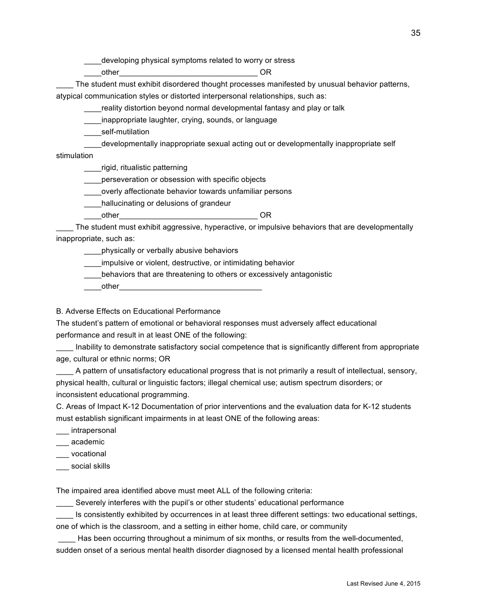\_\_\_\_developing physical symptoms related to worry or stress

\_\_\_\_other\_\_\_\_\_\_\_\_\_\_\_\_\_\_\_\_\_\_\_\_\_\_\_\_\_\_\_\_\_\_\_\_ OR

The student must exhibit disordered thought processes manifested by unusual behavior patterns, atypical communication styles or distorted interpersonal relationships, such as:

reality distortion beyond normal developmental fantasy and play or talk

\_\_\_\_inappropriate laughter, crying, sounds, or language

self-mutilation

developmentally inappropriate sexual acting out or developmentally inappropriate self

stimulation

\_\_\_\_rigid, ritualistic patterning

**\_\_\_\_perseveration or obsession with specific objects** 

\_\_\_\_overly affectionate behavior towards unfamiliar persons

\_\_\_\_hallucinating or delusions of grandeur

\_\_\_\_other\_\_\_\_\_\_\_\_\_\_\_\_\_\_\_\_\_\_\_\_\_\_\_\_\_\_\_\_\_\_\_\_ OR

\_\_\_\_ The student must exhibit aggressive, hyperactive, or impulsive behaviors that are developmentally inappropriate, such as:

\_\_\_\_physically or verbally abusive behaviors

impulsive or violent, destructive, or intimidating behavior

behaviors that are threatening to others or excessively antagonistic

other

B. Adverse Effects on Educational Performance

The student's pattern of emotional or behavioral responses must adversely affect educational performance and result in at least ONE of the following:

Inability to demonstrate satisfactory social competence that is significantly different from appropriate age, cultural or ethnic norms; OR

\_\_\_\_ A pattern of unsatisfactory educational progress that is not primarily a result of intellectual, sensory, physical health, cultural or linguistic factors; illegal chemical use; autism spectrum disorders; or inconsistent educational programming.

C. Areas of Impact K-12 Documentation of prior interventions and the evaluation data for K-12 students must establish significant impairments in at least ONE of the following areas:

intrapersonal

\_\_\_ academic

\_\_\_ vocational

social skills

The impaired area identified above must meet ALL of the following criteria:

Severely interferes with the pupil's or other students' educational performance

Is consistently exhibited by occurrences in at least three different settings: two educational settings, one of which is the classroom, and a setting in either home, child care, or community

Has been occurring throughout a minimum of six months, or results from the well-documented, sudden onset of a serious mental health disorder diagnosed by a licensed mental health professional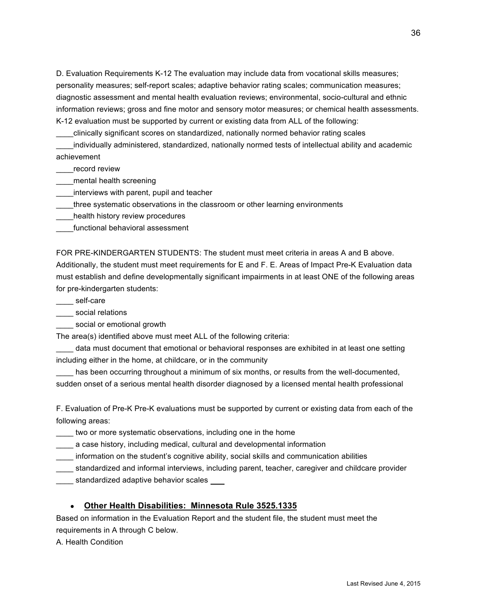D. Evaluation Requirements K-12 The evaluation may include data from vocational skills measures; personality measures; self-report scales; adaptive behavior rating scales; communication measures; diagnostic assessment and mental health evaluation reviews; environmental, socio-cultural and ethnic information reviews; gross and fine motor and sensory motor measures; or chemical health assessments. K-12 evaluation must be supported by current or existing data from ALL of the following:

\_\_\_\_clinically significant scores on standardized, nationally normed behavior rating scales

\_\_\_\_individually administered, standardized, nationally normed tests of intellectual ability and academic achievement

\_\_\_\_record review

\_\_\_\_mental health screening

\_\_\_\_interviews with parent, pupil and teacher

\_\_\_\_three systematic observations in the classroom or other learning environments

\_\_\_\_health history review procedures

\_\_\_\_functional behavioral assessment

FOR PRE-KINDERGARTEN STUDENTS: The student must meet criteria in areas A and B above. Additionally, the student must meet requirements for E and F. E. Areas of Impact Pre-K Evaluation data must establish and define developmentally significant impairments in at least ONE of the following areas for pre-kindergarten students:

\_\_\_\_ self-care

social relations

social or emotional growth

The area(s) identified above must meet ALL of the following criteria:

\_\_\_\_ data must document that emotional or behavioral responses are exhibited in at least one setting including either in the home, at childcare, or in the community

has been occurring throughout a minimum of six months, or results from the well-documented, sudden onset of a serious mental health disorder diagnosed by a licensed mental health professional

F. Evaluation of Pre-K Pre-K evaluations must be supported by current or existing data from each of the following areas:

\_\_\_\_ two or more systematic observations, including one in the home

\_\_\_\_ a case history, including medical, cultural and developmental information

\_\_\_\_ information on the student's cognitive ability, social skills and communication abilities

\_\_\_\_ standardized and informal interviews, including parent, teacher, caregiver and childcare provider

\_\_ standardized adaptive behavior scales \_\_\_

#### ● **Other Health Disabilities: Minnesota Rule 3525.1335**

Based on information in the Evaluation Report and the student file, the student must meet the requirements in A through C below.

A. Health Condition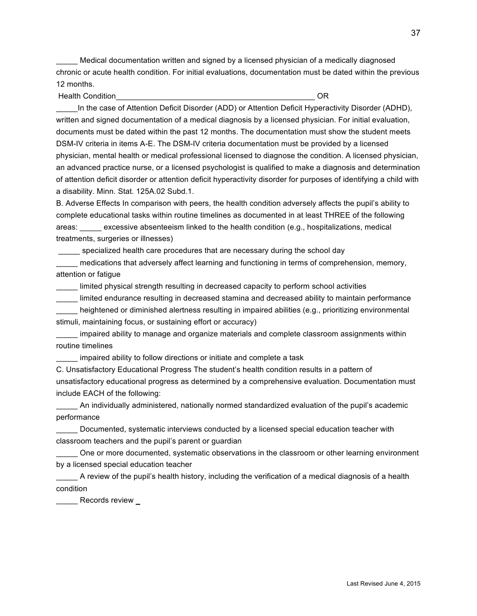Medical documentation written and signed by a licensed physician of a medically diagnosed chronic or acute health condition. For initial evaluations, documentation must be dated within the previous 12 months.

Health Condition\_\_\_\_\_\_\_\_\_\_\_\_\_\_\_\_\_\_\_\_\_\_\_\_\_\_\_\_\_\_\_\_\_\_\_\_\_\_\_\_\_\_\_\_\_\_ OR

In the case of Attention Deficit Disorder (ADD) or Attention Deficit Hyperactivity Disorder (ADHD), written and signed documentation of a medical diagnosis by a licensed physician. For initial evaluation, documents must be dated within the past 12 months. The documentation must show the student meets DSM-IV criteria in items A-E. The DSM-IV criteria documentation must be provided by a licensed physician, mental health or medical professional licensed to diagnose the condition. A licensed physician, an advanced practice nurse, or a licensed psychologist is qualified to make a diagnosis and determination of attention deficit disorder or attention deficit hyperactivity disorder for purposes of identifying a child with a disability. Minn. Stat. 125A.02 Subd.1.

B. Adverse Effects In comparison with peers, the health condition adversely affects the pupil's ability to complete educational tasks within routine timelines as documented in at least THREE of the following areas: \_\_\_\_\_ excessive absenteeism linked to the health condition (e.g., hospitalizations, medical treatments, surgeries or illnesses)

specialized health care procedures that are necessary during the school day

medications that adversely affect learning and functioning in terms of comprehension, memory, attention or fatigue

limited physical strength resulting in decreased capacity to perform school activities

\_\_\_\_\_ limited endurance resulting in decreased stamina and decreased ability to maintain performance heightened or diminished alertness resulting in impaired abilities (e.g., prioritizing environmental stimuli, maintaining focus, or sustaining effort or accuracy)

\_\_\_\_\_ impaired ability to manage and organize materials and complete classroom assignments within routine timelines

impaired ability to follow directions or initiate and complete a task

C. Unsatisfactory Educational Progress The student's health condition results in a pattern of unsatisfactory educational progress as determined by a comprehensive evaluation. Documentation must include EACH of the following:

\_\_\_\_\_ An individually administered, nationally normed standardized evaluation of the pupil's academic performance

\_\_\_\_\_ Documented, systematic interviews conducted by a licensed special education teacher with classroom teachers and the pupil's parent or guardian

\_\_\_\_\_ One or more documented, systematic observations in the classroom or other learning environment by a licensed special education teacher

\_\_\_\_\_ A review of the pupil's health history, including the verification of a medical diagnosis of a health condition

\_\_\_\_ Records review \_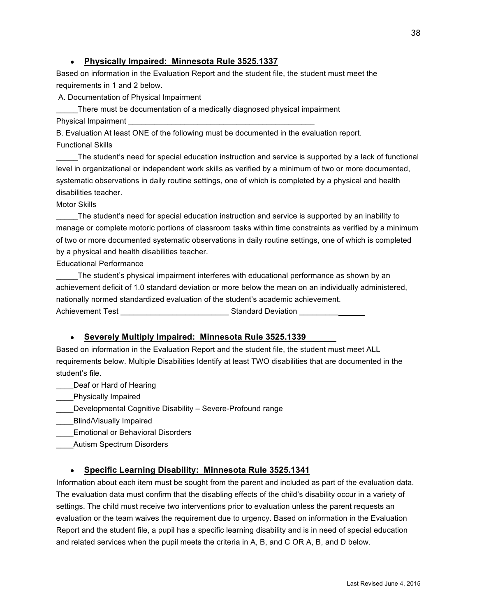#### ● **Physically Impaired: Minnesota Rule 3525.1337**

Based on information in the Evaluation Report and the student file, the student must meet the requirements in 1 and 2 below.

A. Documentation of Physical Impairment

There must be documentation of a medically diagnosed physical impairment Physical Impairment

B. Evaluation At least ONE of the following must be documented in the evaluation report. Functional Skills

The student's need for special education instruction and service is supported by a lack of functional level in organizational or independent work skills as verified by a minimum of two or more documented, systematic observations in daily routine settings, one of which is completed by a physical and health disabilities teacher.

Motor Skills

\_\_\_\_\_The student's need for special education instruction and service is supported by an inability to manage or complete motoric portions of classroom tasks within time constraints as verified by a minimum of two or more documented systematic observations in daily routine settings, one of which is completed by a physical and health disabilities teacher.

Educational Performance

The student's physical impairment interferes with educational performance as shown by an achievement deficit of 1.0 standard deviation or more below the mean on an individually administered, nationally normed standardized evaluation of the student's academic achievement. Achievement Test **Achievement Test Achievement Test Achievement Test Achievement** Test **Achievement Achievement** 

#### ● **Severely Multiply Impaired: Minnesota Rule 3525.1339**

Based on information in the Evaluation Report and the student file, the student must meet ALL requirements below. Multiple Disabilities Identify at least TWO disabilities that are documented in the student's file.

\_\_\_\_Deaf or Hard of Hearing

**Example 2** Physically Impaired

Developmental Cognitive Disability – Severe-Profound range

\_\_\_\_Blind/Visually Impaired

\_\_\_\_Emotional or Behavioral Disorders

\_\_\_\_Autism Spectrum Disorders

#### ● **Specific Learning Disability: Minnesota Rule 3525.1341**

Information about each item must be sought from the parent and included as part of the evaluation data. The evaluation data must confirm that the disabling effects of the child's disability occur in a variety of settings. The child must receive two interventions prior to evaluation unless the parent requests an evaluation or the team waives the requirement due to urgency. Based on information in the Evaluation Report and the student file, a pupil has a specific learning disability and is in need of special education and related services when the pupil meets the criteria in A, B, and C OR A, B, and D below.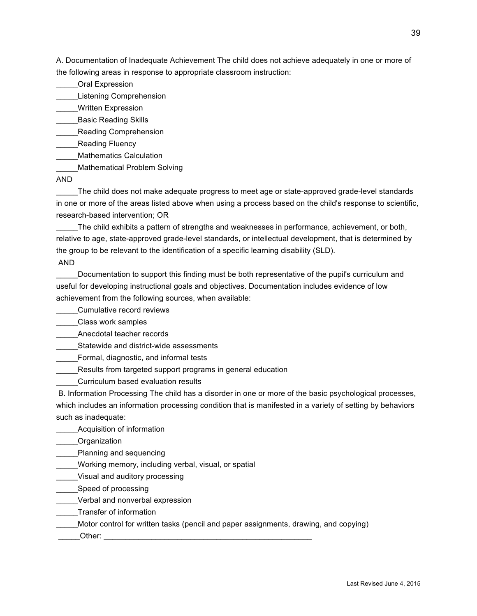A. Documentation of Inadequate Achievement The child does not achieve adequately in one or more of the following areas in response to appropriate classroom instruction:

\_\_\_\_\_Oral Expression

\_\_\_\_\_Listening Comprehension

\_\_\_\_\_Written Expression

\_\_Basic Reading Skills

\_\_\_\_\_Reading Comprehension

**\_\_\_\_\_Reading Fluency** 

\_\_\_\_\_Mathematics Calculation

Mathematical Problem Solving

AND

\_\_\_\_\_The child does not make adequate progress to meet age or state-approved grade-level standards in one or more of the areas listed above when using a process based on the child's response to scientific, research-based intervention; OR

\_\_\_\_\_The child exhibits a pattern of strengths and weaknesses in performance, achievement, or both, relative to age, state-approved grade-level standards, or intellectual development, that is determined by the group to be relevant to the identification of a specific learning disability (SLD).

AND

Documentation to support this finding must be both representative of the pupil's curriculum and useful for developing instructional goals and objectives. Documentation includes evidence of low achievement from the following sources, when available:

\_\_\_\_\_Cumulative record reviews

\_\_\_\_\_Class work samples

Anecdotal teacher records

Statewide and district-wide assessments

\_\_\_\_\_Formal, diagnostic, and informal tests

Results from targeted support programs in general education

\_\_\_\_\_Curriculum based evaluation results

 B. Information Processing The child has a disorder in one or more of the basic psychological processes, which includes an information processing condition that is manifested in a variety of setting by behaviors such as inadequate:

\_\_\_\_\_Acquisition of information

\_\_\_\_\_Organization

\_\_\_\_\_Planning and sequencing

\_\_\_\_\_Working memory, including verbal, visual, or spatial

\_\_\_\_\_Visual and auditory processing

Speed of processing

Verbal and nonverbal expression

\_\_\_\_\_Transfer of information

\_\_\_\_\_Motor control for written tasks (pencil and paper assignments, drawing, and copying)

 $Other:$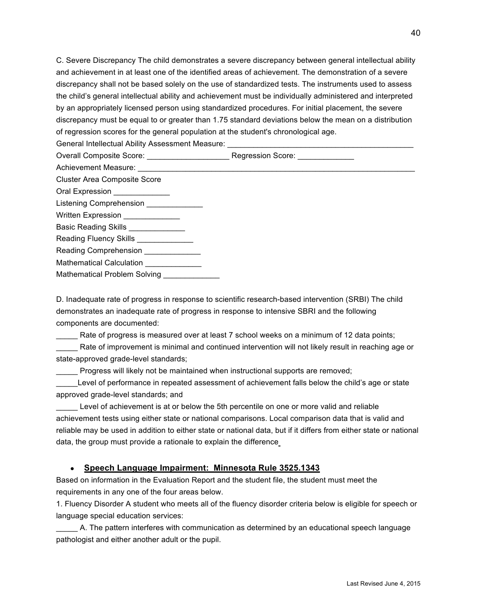C. Severe Discrepancy The child demonstrates a severe discrepancy between general intellectual ability and achievement in at least one of the identified areas of achievement. The demonstration of a severe discrepancy shall not be based solely on the use of standardized tests. The instruments used to assess the child's general intellectual ability and achievement must be individually administered and interpreted by an appropriately licensed person using standardized procedures. For initial placement, the severe discrepancy must be equal to or greater than 1.75 standard deviations below the mean on a distribution of regression scores for the general population at the student's chronological age.

General Intellectual Ability Assessment Measure:

Overall Composite Score: example and a Regression Score:  $\blacksquare$ 

Achievement Measure:

Cluster Area Composite Score

Oral Expression

Listening Comprehension \_\_\_\_\_\_\_\_\_\_\_\_\_\_

Written Expression

Basic Reading Skills \_\_\_\_\_\_\_\_\_

Reading Fluency Skills \_\_\_\_\_\_\_\_\_\_\_\_\_

Reading Comprehension \_\_\_\_\_\_\_\_\_\_\_\_\_

Mathematical Calculation

Mathematical Problem Solving

D. Inadequate rate of progress in response to scientific research-based intervention (SRBI) The child demonstrates an inadequate rate of progress in response to intensive SBRI and the following components are documented:

Rate of progress is measured over at least 7 school weeks on a minimum of 12 data points; Rate of improvement is minimal and continued intervention will not likely result in reaching age or state-approved grade-level standards;

\_\_\_\_\_ Progress will likely not be maintained when instructional supports are removed;

Level of performance in repeated assessment of achievement falls below the child's age or state approved grade-level standards; and

Level of achievement is at or below the 5th percentile on one or more valid and reliable achievement tests using either state or national comparisons. Local comparison data that is valid and reliable may be used in addition to either state or national data, but if it differs from either state or national data, the group must provide a rationale to explain the difference

#### ● **Speech Language Impairment: Minnesota Rule 3525.1343**

Based on information in the Evaluation Report and the student file, the student must meet the requirements in any one of the four areas below.

1. Fluency Disorder A student who meets all of the fluency disorder criteria below is eligible for speech or language special education services:

\_\_\_\_\_ A. The pattern interferes with communication as determined by an educational speech language pathologist and either another adult or the pupil.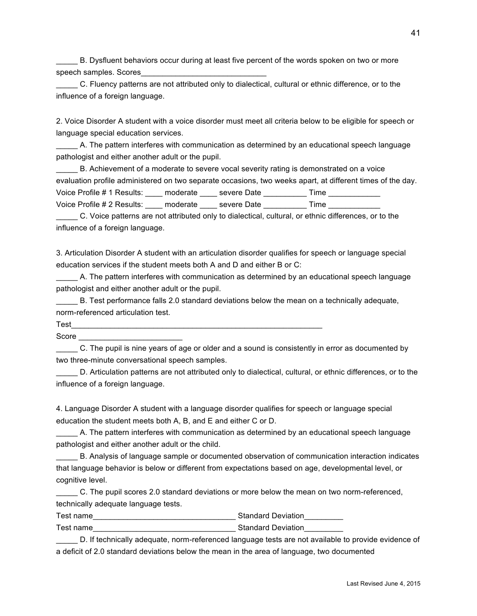\_\_\_\_\_ B. Dysfluent behaviors occur during at least five percent of the words spoken on two or more speech samples. Scores

\_\_\_\_\_ C. Fluency patterns are not attributed only to dialectical, cultural or ethnic difference, or to the influence of a foreign language.

2. Voice Disorder A student with a voice disorder must meet all criteria below to be eligible for speech or language special education services.

\_\_\_\_\_ A. The pattern interferes with communication as determined by an educational speech language pathologist and either another adult or the pupil.

E. Achievement of a moderate to severe vocal severity rating is demonstrated on a voice evaluation profile administered on two separate occasions, two weeks apart, at different times of the day. Voice Profile # 1 Results: \_\_\_\_ moderate \_\_\_\_ severe Date \_\_\_\_\_\_\_\_\_\_ Time \_\_\_\_\_\_\_ Voice Profile # 2 Results: \_\_\_\_\_ moderate \_\_\_\_\_ severe Date \_\_\_\_\_\_\_\_\_\_\_ Time \_\_\_\_\_

\_\_\_\_\_ C. Voice patterns are not attributed only to dialectical, cultural, or ethnic differences, or to the influence of a foreign language.

3. Articulation Disorder A student with an articulation disorder qualifies for speech or language special education services if the student meets both A and D and either B or C:

\_\_\_\_\_ A. The pattern interferes with communication as determined by an educational speech language pathologist and either another adult or the pupil.

\_\_\_\_\_ B. Test performance falls 2.0 standard deviations below the mean on a technically adequate, norm-referenced articulation test.

 $\textsf{Test}$ 

Score  $\Box$ 

\_\_\_\_\_ C. The pupil is nine years of age or older and a sound is consistently in error as documented by two three-minute conversational speech samples.

D. Articulation patterns are not attributed only to dialectical, cultural, or ethnic differences, or to the influence of a foreign language.

4. Language Disorder A student with a language disorder qualifies for speech or language special education the student meets both A, B, and E and either C or D.

\_\_\_\_\_ A. The pattern interferes with communication as determined by an educational speech language pathologist and either another adult or the child.

\_\_\_\_\_ B. Analysis of language sample or documented observation of communication interaction indicates that language behavior is below or different from expectations based on age, developmental level, or cognitive level.

\_\_\_\_\_ C. The pupil scores 2.0 standard deviations or more below the mean on two norm-referenced, technically adequate language tests.

Test name\_\_\_\_\_\_\_\_\_\_\_\_\_\_\_\_\_\_\_\_\_\_\_\_\_\_\_\_\_\_\_\_\_ Standard Deviation\_\_\_\_\_\_\_\_\_ Test name\_\_\_\_\_\_\_\_\_\_\_\_\_\_\_\_\_\_\_\_\_\_\_\_\_\_\_\_\_\_\_\_\_ Standard Deviation\_\_\_\_\_\_\_\_\_

D. If technically adequate, norm-referenced language tests are not available to provide evidence of a deficit of 2.0 standard deviations below the mean in the area of language, two documented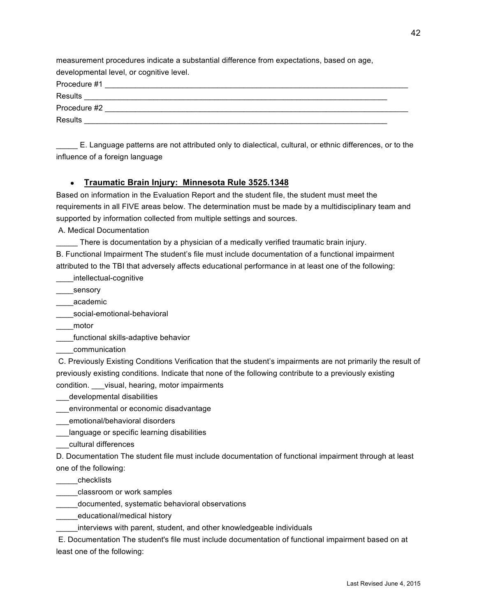measurement procedures indicate a substantial difference from expectations, based on age, developmental level, or cognitive level.

Procedure #1 \_\_\_\_\_\_\_\_\_\_\_\_\_\_\_\_\_\_\_\_\_\_\_\_\_\_\_\_\_\_\_\_\_\_\_\_\_\_\_\_\_\_\_\_\_\_\_\_\_\_\_\_\_\_\_\_\_\_\_\_\_\_\_\_\_\_\_\_\_\_

Results Procedure #2 Results

\_\_\_\_\_ E. Language patterns are not attributed only to dialectical, cultural, or ethnic differences, or to the influence of a foreign language

#### ● **Traumatic Brain Injury: Minnesota Rule 3525.1348**

Based on information in the Evaluation Report and the student file, the student must meet the requirements in all FIVE areas below. The determination must be made by a multidisciplinary team and supported by information collected from multiple settings and sources.

A. Medical Documentation

\_\_\_\_\_ There is documentation by a physician of a medically verified traumatic brain injury.

B. Functional Impairment The student's file must include documentation of a functional impairment attributed to the TBI that adversely affects educational performance in at least one of the following:

\_\_\_\_intellectual-cognitive

\_\_\_\_\_sensory

\_\_\_\_academic

\_\_\_\_social-emotional-behavioral

\_\_\_\_motor

\_\_\_\_functional skills-adaptive behavior

\_\_\_\_communication

 C. Previously Existing Conditions Verification that the student's impairments are not primarily the result of previously existing conditions. Indicate that none of the following contribute to a previously existing condition. \_\_\_visual, hearing, motor impairments

\_\_\_developmental disabilities

\_\_\_environmental or economic disadvantage

\_\_\_emotional/behavioral disorders

\_\_\_language or specific learning disabilities

\_\_\_cultural differences

D. Documentation The student file must include documentation of functional impairment through at least one of the following:

\_\_\_\_\_checklists

\_\_\_\_\_classroom or work samples

\_\_\_\_\_documented, systematic behavioral observations

educational/medical history

interviews with parent, student, and other knowledgeable individuals

 E. Documentation The student's file must include documentation of functional impairment based on at least one of the following: